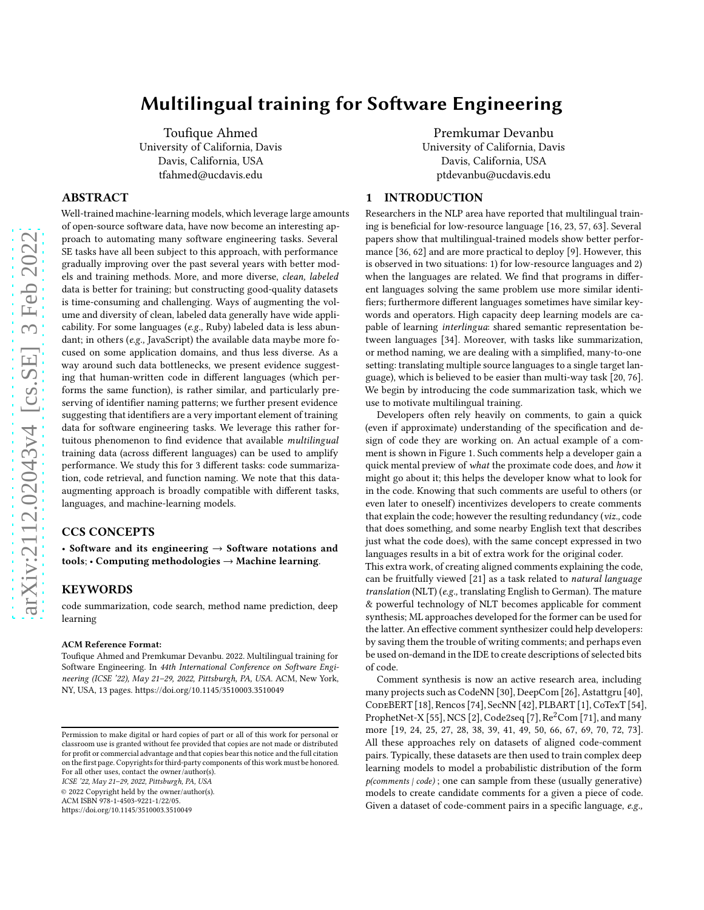# Multilingual training for Software Engineering

Toufique Ahmed University of California, Davis Davis, California, USA tfahmed@ucdavis.edu

# ABSTRACT

Well-trained machine-learning models, which leverage large amounts of open-source software data, have now become an interesting approach to automating many software engineering tasks. Several SE tasks have all been subject to this approach, with performance gradually improving over the past several years with better models and training methods. More, and more diverse, clean, labeled data is better for training; but constructing good-quality datasets is time-consuming and challenging. Ways of augmenting the volume and diversity of clean, labeled data generally have wide applicability. For some languages (e.g., Ruby) labeled data is less abundant; in others (e.g., JavaScript) the available data maybe more focused on some application domains, and thus less diverse. As a way around such data bottlenecks, we present evidence suggesting that human-written code in different languages (which performs the same function), is rather similar, and particularly preserving of identifier naming patterns; we further present evidence suggesting that identifiers are a very important element of training data for software engineering tasks. We leverage this rather fortuitous phenomenon to find evidence that available multilingual training data (across different languages) can be used to amplify performance. We study this for 3 different tasks: code summarization, code retrieval, and function naming. We note that this dataaugmenting approach is broadly compatible with different tasks, languages, and machine-learning models.

# CCS CONCEPTS

• Software and its engineering  $\rightarrow$  Software notations and tools; • Computing methodologies  $\rightarrow$  Machine learning.

# **KEYWORDS**

code summarization, code search, method name prediction, deep learning

#### ACM Reference Format:

Toufique Ahmed and Premkumar Devanbu. 2022. Multilingual training for Software Engineering. In 44th International Conference on Software Engineering (ICSE '22), May 21–29, 2022, Pittsburgh, PA, USA. ACM, New York, NY, USA, [13](#page-12-0) pages.<https://doi.org/10.1145/3510003.3510049>

ICSE '22, May 21–29, 2022, Pittsburgh, PA, USA

© 2022 Copyright held by the owner/author(s).

ACM ISBN 978-1-4503-9221-1/22/05.

<https://doi.org/10.1145/3510003.3510049>

Premkumar Devanbu University of California, Davis Davis, California, USA ptdevanbu@ucdavis.edu

# 1 INTRODUCTION

Researchers in the NLP area have reported that multilingual training is beneficial for low-resource language [\[16,](#page-10-0) [23](#page-10-1), [57,](#page-11-0) [63](#page-11-1)]. Several papers show that multilingual-trained models show better performance [\[36,](#page-11-2) [62\]](#page-11-3) and are more practical to deploy [\[9\]](#page-10-2). However, this is observed in two situations: 1) for low-resource languages and 2) when the languages are related. We find that programs in different languages solving the same problem use more similar identifiers; furthermore different languages sometimes have similar keywords and operators. High capacity deep learning models are capable of learning *interlingua*: shared semantic representation between languages [\[34](#page-11-4)]. Moreover, with tasks like summarization, or method naming, we are dealing with a simplified, many-to-one setting: translating multiple source languages to a single target language), which is believed to be easier than multi-way task [\[20](#page-10-3), [76\]](#page-12-1). We begin by introducing the code summarization task, which we use to motivate multilingual training.

Developers often rely heavily on comments, to gain a quick (even if approximate) understanding of the specification and design of code they are working on. An actual example of a comment is shown in Figure [1.](#page-1-0) Such comments help a developer gain a quick mental preview of what the proximate code does, and how it might go about it; this helps the developer know what to look for in the code. Knowing that such comments are useful to others (or even later to oneself) incentivizes developers to create comments that explain the code; however the resulting redundancy (viz., code that does something, and some nearby English text that describes just what the code does), with the same concept expressed in two languages results in a bit of extra work for the original coder. This extra work, of creating aligned comments explaining the code, can be fruitfully viewed [\[21\]](#page-10-4) as a task related to natural language translation (NLT) (e.g., translating English to German). The mature & powerful technology of NLT becomes applicable for comment synthesis; ML approaches developed for the former can be used for the latter. An effective comment synthesizer could help developers: by saving them the trouble of writing comments; and perhaps even be used on-demand in the IDE to create descriptions of selected bits of code.

Comment synthesis is now an active research area, including many projects such as CodeNN [\[30](#page-11-5)], DeepCom [\[26](#page-10-5)], Astattgru [\[40](#page-11-6)], CodeBERT [\[18](#page-10-6)], Rencos [\[74\]](#page-12-2), SecNN [\[42](#page-11-7)], PLBART [\[1\]](#page-10-7), CoTexT [\[54\]](#page-11-8), ProphetNet-X [\[55](#page-11-9)], NCS [\[2](#page-10-8)], Code2seq [\[7](#page-10-9)],  $Re<sup>2</sup>Com$  [\[71\]](#page-11-10), and many more [\[19,](#page-10-10) [24](#page-10-11), [25,](#page-10-12) [27](#page-11-11), [28,](#page-11-12) [38](#page-11-13), [39,](#page-11-14) [41](#page-11-15), [49,](#page-11-16) [50](#page-11-17), [66,](#page-11-18) [67](#page-11-19), [69,](#page-11-20) [70](#page-11-21), [72,](#page-11-22) [73\]](#page-12-3). All these approaches rely on datasets of aligned code-comment pairs. Typically, these datasets are then used to train complex deep learning models to model a probabilistic distribution of the form  $p$ (comments  $|code\rangle$ ; one can sample from these (usually generative) models to create candidate comments for a given a piece of code. Given a dataset of code-comment pairs in a specific language, e.g.,

Permission to make digital or hard copies of part or all of this work for personal or classroom use is granted without fee provided that copies are not made or distributed for profit or commercial advantage and that copies bear this notice and the full citation on the first page. Copyrights for third-party components of this work must be honored. For all other uses, contact the owner/author(s).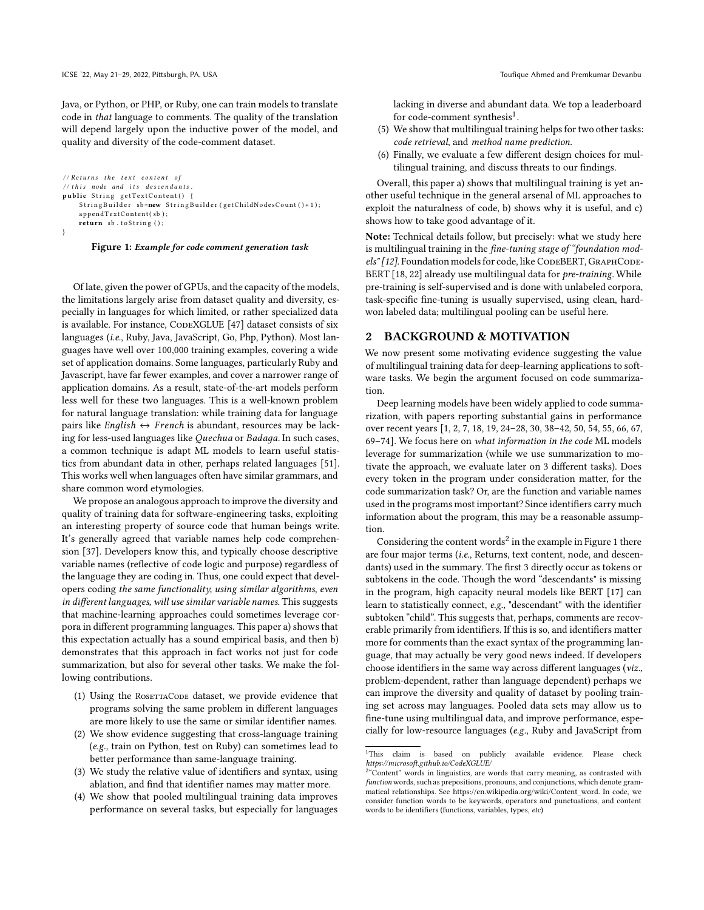Java, or Python, or PHP, or Ruby, one can train models to translate code in that language to comments. The quality of the translation will depend largely upon the inductive power of the model, and quality and diversity of the code-comment dataset.

```
// Returns the text content of// this node and its descendantspublic String getTextContent()
    StringBuilder sb=new StringBuilder (getChildNodesCount ()+1);
    appendTextContent(sb);
    return sb. to String ();
```
Figure 1: Example for code comment generation task

Of late, given the power of GPUs, and the capacity of the models, the limitations largely arise from dataset quality and diversity, especially in languages for which limited, or rather specialized data is available. For instance, CODEXGLUE [47] dataset consists of six languages (i.e., Ruby, Java, JavaScript, Go, Php, Python). Most languages have well over 100,000 training examples, covering a wide set of application domains. Some languages, particularly Ruby and Javascript, have far fewer examples, and cover a narrower range of application domains. As a result, state-of-the-art models perform less well for these two languages. This is a well-known problem for natural language translation: while training data for language pairs like *English*  $\leftrightarrow$  *French* is abundant, resources may be lacking for less-used languages like Quechua or Badaga. In such cases, a common technique is adapt ML models to learn useful statistics from abundant data in other, perhaps related languages [\[51](#page-11-23)]. This works well when languages often have similar grammars, and share common word etymologies.

We propose an analogous approach to improve the diversity and quality of training data for software-engineering tasks, exploiting an interesting property of source code that human beings write. It's generally agreed that variable names help code comprehension [\[37](#page-11-24)]. Developers know this, and typically choose descriptive variable names (reflective of code logic and purpose) regardless of the language they are coding in. Thus, one could expect that developers coding the same functionality, using similar algorithms, even in different languages, will use similar variable names. This suggests that machine-learning approaches could sometimes leverage corpora in different programming languages. This paper a) showsthat this expectation actually has a sound empirical basis, and then b) demonstrates that this approach in fact works not just for code summarization, but also for several other tasks. We make the following contributions.

- (1) Using the ROSETTACODE dataset, we provide evidence that programs solving the same problem in different languages are more likely to use the same or similar identifier names.
- (2) We show evidence suggesting that cross-language training (e.g., train on Python, test on Ruby) can sometimes lead to better performance than same-language training.
- (3) We study the relative value of identifiers and syntax, using ablation, and find that identifier names may matter more.
- (4) We show that pooled multilingual training data improves performance on several tasks, but especially for languages

lacking in diverse and abundant data. We top a leaderboard for code-comment synthesis<sup>[1](#page-1-1)</sup>.

- (5) We show that multilingual training helps for two other tasks: code retrieval, and method name prediction.
- (6) Finally, we evaluate a few different design choices for multilingual training, and discuss threats to our findings.

Overall, this paper a) shows that multilingual training is yet another useful technique in the general arsenal of ML approaches to exploit the naturalness of code, b) shows why it is useful, and c) shows how to take good advantage of it.

Note: Technical details follow, but precisely: what we study here is multilingual training in the *fine-tuning stage of "foundation mod-*els" [\[12](#page-10-13)]. Foundation models for code, like CODEBERT, GRAPHCODE-BERT [\[18](#page-10-6), [22\]](#page-10-14) already use multilingual data for *pre-training*. While pre-training is self-supervised and is done with unlabeled corpora, task-specific fine-tuning is usually supervised, using clean, hardwon labeled data; multilingual pooling can be useful here.

# 2 BACKGROUND & MOTIVATION

We now present some motivating evidence suggesting the value of multilingual training data for deep-learning applications to software tasks. We begin the argument focused on code summarization.

Deep learning models have been widely applied to code summarization, with papers reporting substantial gains in performance over recent years [\[1](#page-10-7), [2](#page-10-8), [7,](#page-10-9) [18](#page-10-6), [19,](#page-10-10) [24](#page-10-11)[–28](#page-11-12), [30,](#page-11-5) [38](#page-11-13)[–42](#page-11-7), [50,](#page-11-17) [54,](#page-11-8) [55](#page-11-9), [66,](#page-11-18) [67](#page-11-19), [69](#page-11-20)[–74\]](#page-12-2). We focus here on what information in the code ML models leverage for summarization (while we use summarization to motivate the approach, we evaluate later on 3 different tasks). Does every token in the program under consideration matter, for the code summarization task? Or, are the function and variable names used in the programs most important? Since identifiers carry much information about the program, this may be a reasonable assumption.

Considering the content words<sup>[2](#page-1-2)</sup> in the example in Figure [1](#page-1-0) there are four major terms (i.e., Returns, text content, node, and descendants) used in the summary. The first 3 directly occur as tokens or subtokens in the code. Though the word "descendants" is missing in the program, high capacity neural models like BERT [\[17](#page-10-15)] can learn to statistically connect, e.g., "descendant" with the identifier subtoken "child". This suggests that, perhaps, comments are recoverable primarily from identifiers. If this is so, and identifiers matter more for comments than the exact syntax of the programming language, that may actually be very good news indeed. If developers choose identifiers in the same way across different languages (viz., problem-dependent, rather than language dependent) perhaps we can improve the diversity and quality of dataset by pooling training set across may languages. Pooled data sets may allow us to fine-tune using multilingual data, and improve performance, especially for low-resource languages (e.g., Ruby and JavaScript from

<sup>&</sup>lt;sup>1</sup>This claim is based on publicly available evidence. Please check https://microsoft.github.io/CodeXGLUE/

<span id="page-1-2"></span><span id="page-1-1"></span> $2<sup>a</sup>$  Content" words in linguistics, are words that carry meaning, as contrasted with function words, such as prepositions, pronouns, and conjunctions, which denote grammatical relationships. See [https://en.wikipedia.org/wiki/Content\\_word.](https://en.wikipedia.org/wiki/Content_word) In code, we consider function words to be keywords, operators and punctuations, and content words to be identifiers (functions, variables, types, etc)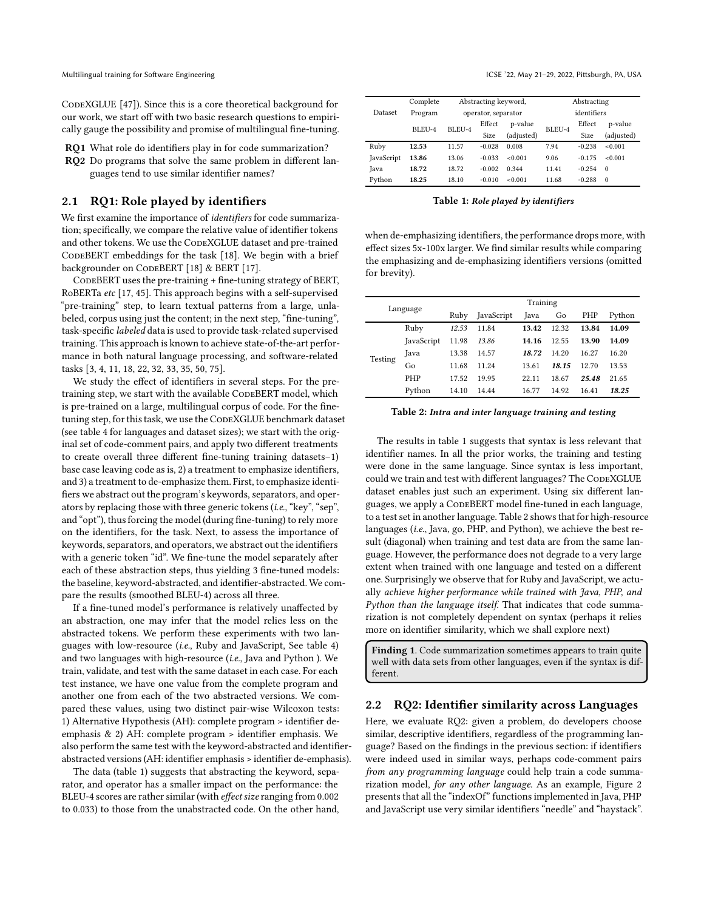CODEXGLUE [47]). Since this is a core theoretical background for our work, we start off with two basic research questions to empirically gauge the possibility and promise of multilingual fine-tuning.

RQ1 What role do identifiers play in for code summarization? RQ2 Do programs that solve the same problem in different languages tend to use similar identifier names?

# 2.1 RQ1: Role played by identifiers

We first examine the importance of identifiers for code summarization; specifically, we compare the relative value of identifier tokens and other tokens. We use the CODEXGLUE dataset and pre-trained CODEBERT embeddings for the task [\[18](#page-10-6)]. We begin with a brief backgrounder on CODEBERT [\[18](#page-10-6)] & BERT [\[17\]](#page-10-15).

CodeBERT uses the pre-training + fine-tuning strategy of BERT, RoBERTa etc [\[17](#page-10-15), [45](#page-11-25)]. This approach begins with a self-supervised "pre-training" step, to learn textual patterns from a large, unlabeled, corpus using just the content; in the next step, "fine-tuning", task-specific labeled data is used to provide task-related supervised training. This approach is known to achieve state-of-the-art performance in both natural language processing, and software-related tasks [\[3,](#page-10-16) [4](#page-10-17), [11,](#page-10-18) [18](#page-10-6), [22,](#page-10-14) [32,](#page-11-26) [33](#page-11-27), [35,](#page-11-28) [50](#page-11-17), [75\]](#page-12-4).

We study the effect of identifiers in several steps. For the pretraining step, we start with the available CODEBERT model, which is pre-trained on a large, multilingual corpus of code. For the finetuning step, for this task, we use the CODEXGLUE benchmark dataset (see table [4](#page-5-0) for languages and dataset sizes); we start with the original set of code-comment pairs, and apply two different treatments to create overall three different fine-tuning training datasets–1) base case leaving code as is, 2) a treatment to emphasize identifiers, and 3) a treatment to de-emphasize them. First, to emphasize identifiers we abstract out the program's keywords, separators, and operators by replacing those with three generic tokens (i.e., "key", "sep", and "opt"), thus forcing the model (during fine-tuning) to rely more on the identifiers, for the task. Next, to assess the importance of keywords, separators, and operators, we abstract out the identifiers with a generic token "id". We fine-tune the model separately after each of these abstraction steps, thus yielding 3 fine-tuned models: the baseline, keyword-abstracted, and identifier-abstracted. We compare the results (smoothed BLEU-4) across all three.

If a fine-tuned model's performance is relatively unaffected by an abstraction, one may infer that the model relies less on the abstracted tokens. We perform these experiments with two languages with low-resource (i.e., Ruby and JavaScript, See table [4\)](#page-5-0) and two languages with high-resource (i.e., Java and Python ). We train, validate, and test with the same dataset in each case. For each test instance, we have one value from the complete program and another one from each of the two abstracted versions. We compared these values, using two distinct pair-wise Wilcoxon tests: 1) Alternative Hypothesis (AH): complete program > identifier deemphasis & 2) AH: complete program > identifier emphasis. We also perform the same test with the keyword-abstracted and identifierabstracted versions (AH: identifier emphasis > identifier de-emphasis).

The data (table [1\)](#page-2-0) suggests that abstracting the keyword, separator, and operator has a smaller impact on the performance: the BLEU-4 scores are rather similar (with effect size ranging from 0.002 to 0.033) to those from the unabstracted code. On the other hand,

<span id="page-2-0"></span>

|            | Complete |        | Abstracting keyword, |            |             | Abstracting |            |  |
|------------|----------|--------|----------------------|------------|-------------|-------------|------------|--|
| Dataset    | Program  |        | operator, separator  |            | identifiers |             |            |  |
|            |          | BLEU-4 | Effect               | p-value    | BLEU-4      | Effect      | p-value    |  |
|            | BLEU-4   |        | Size                 | (adjusted) |             | Size        | (adjusted) |  |
| Ruby       | 12.53    | 11.57  | $-0.028$             | 0.008      | 7.94        | $-0.238$    | < 0.001    |  |
| JavaScript | 13.86    | 13.06  | $-0.033$             | < 0.001    | 9.06        | $-0.175$    | < 0.001    |  |
| Java       | 18.72    | 18.72  | $-0.002$             | 0.344      | 11.41       | $-0.254$    | $\Omega$   |  |
| Pvthon     | 18.25    | 18.10  | $-0.010$             | < 0.001    | 11.68       | $-0.288$    | $\Omega$   |  |

Table 1: Role played by identifiers

when de-emphasizing identifiers, the performance drops more, with effect sizes 5x-100x larger. We find similar results while comparing the emphasizing and de-emphasizing identifiers versions (omitted for brevity).

<span id="page-2-1"></span>

| Language |            | Training |            |       |       |       |        |  |  |
|----------|------------|----------|------------|-------|-------|-------|--------|--|--|
|          |            | Ruby     | JavaScript | Java  | Go    | PHP   | Python |  |  |
|          | Ruby       | 12.53    | 11.84      | 13.42 | 12.32 | 13.84 | 14.09  |  |  |
| Testing  | JavaScript | 11.98    | 13.86      | 14.16 | 12.55 | 13.90 | 14.09  |  |  |
|          | Java       | 13.38    | 14.57      | 18.72 | 14.20 | 16.27 | 16.20  |  |  |
|          | Go         | 11.68    | 11.24      | 13.61 | 18.15 | 12.70 | 13.53  |  |  |
|          | <b>PHP</b> | 17.52    | 19.95      | 22.11 | 18.67 | 25.48 | 21.65  |  |  |
|          | Python     | 14.10    | 14.44      | 16.77 | 14.92 | 16.41 | 18.25  |  |  |

#### Table 2: Intra and inter language training and testing

The results in table [1](#page-2-0) suggests that syntax is less relevant that identifier names. In all the prior works, the training and testing were done in the same language. Since syntax is less important, could we train and test with different languages? The CODEXGLUE dataset enables just such an experiment. Using six different languages, we apply a CODEBERT model fine-tuned in each language, to a test set in another language. Table [2](#page-2-1) shows that for high-resource languages (i.e., Java, go, PHP, and Python), we achieve the best result (diagonal) when training and test data are from the same language. However, the performance does not degrade to a very large extent when trained with one language and tested on a different one. Surprisingly we observe that for Ruby and JavaScript, we actually achieve higher performance while trained with Java, PHP, and Python than the language itself. That indicates that code summarization is not completely dependent on syntax (perhaps it relies more on identifier similarity, which we shall explore next)

Finding 1. Code summarization sometimes appears to train quite well with data sets from other languages, even if the syntax is different.

#### 2.2 RQ2: Identifier similarity across Languages

Here, we evaluate RQ2: given a problem, do developers choose similar, descriptive identifiers, regardless of the programming language? Based on the findings in the previous section: if identifiers were indeed used in similar ways, perhaps code-comment pairs from any programming language could help train a code summarization model, for any other language. As an example, Figure [2](#page-4-0) presents that all the "indexOf" functions implemented in Java, PHP and JavaScript use very similar identifiers "needle" and "haystack".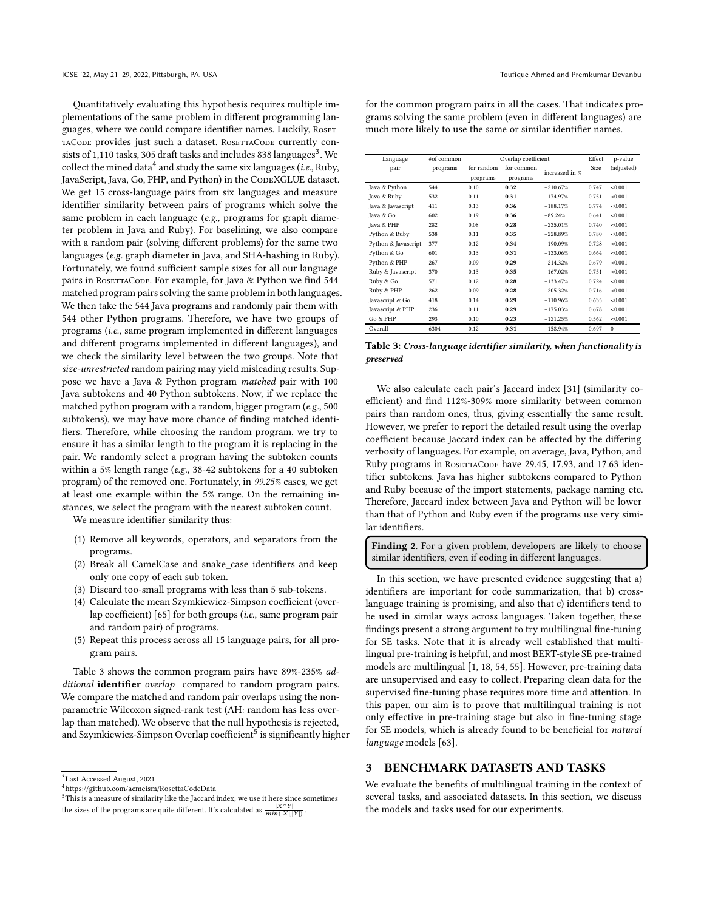Quantitatively evaluating this hypothesis requires multiple implementations of the same problem in different programming languages, where we could compare identifier names. Luckily, RosET-TACODE provides just such a dataset. ROSETTACODE currently con-sists of 1,110 tasks, [3](#page-3-0)05 draft tasks and includes 838 languages $^3$ . We collect the mined data<sup>[4](#page-3-1)</sup> and study the same six languages (*i.e.*, Ruby, JavaScript, Java, Go, PHP, and Python) in the CODEXGLUE dataset. We get 15 cross-language pairs from six languages and measure identifier similarity between pairs of programs which solve the same problem in each language (e.g., programs for graph diameter problem in Java and Ruby). For baselining, we also compare with a random pair (solving different problems) for the same two languages (e.g. graph diameter in Java, and SHA-hashing in Ruby). Fortunately, we found sufficient sample sizes for all our language pairs in ROSETTACODE. For example, for Java & Python we find 544 matched program pairs solving the same problem in both languages. We then take the 544 Java programs and randomly pair them with 544 other Python programs. Therefore, we have two groups of programs (i.e., same program implemented in different languages and different programs implemented in different languages), and we check the similarity level between the two groups. Note that size-unrestricted random pairing may yield misleading results. Suppose we have a Java & Python program matched pair with 100 Java subtokens and 40 Python subtokens. Now, if we replace the matched python program with a random, bigger program (e.g., 500 subtokens), we may have more chance of finding matched identifiers. Therefore, while choosing the random program, we try to ensure it has a similar length to the program it is replacing in the pair. We randomly select a program having the subtoken counts within a 5% length range (e.g., 38-42 subtokens for a 40 subtoken program) of the removed one. Fortunately, in 99.25% cases, we get at least one example within the 5% range. On the remaining instances, we select the program with the nearest subtoken count.

We measure identifier similarity thus:

- (1) Remove all keywords, operators, and separators from the programs.
- (2) Break all CamelCase and snake\_case identifiers and keep only one copy of each sub token.
- (3) Discard too-small programs with less than 5 sub-tokens.
- (4) Calculate the mean Szymkiewicz-Simpson coefficient (over-lap coefficient) [\[65](#page-11-29)] for both groups (i.e., same program pair and random pair) of programs.
- (5) Repeat this process across all 15 language pairs, for all program pairs.

Table [3](#page-3-2) shows the common program pairs have 89%-235% additional identifier overlap compared to random program pairs. We compare the matched and random pair overlaps using the nonparametric Wilcoxon signed-rank test (AH: random has less overlap than matched). We observe that the null hypothesis is rejected, and Szymkiewicz-Simpson Overlap coefficient<sup>[5](#page-3-3)</sup> is significantly higher

for the common program pairs in all the cases. That indicates programs solving the same problem (even in different languages) are much more likely to use the same or similar identifier names.

<span id="page-3-2"></span>

| Language            | #of common |            | Overlap coefficient |                | Effect | p-value    |
|---------------------|------------|------------|---------------------|----------------|--------|------------|
| pair                | programs   | for random | for common          | increased in % | Size   | (adjusted) |
|                     |            | programs   | programs            |                |        |            |
| Java & Python       | 544        | 0.10       | 0.32                | $+210.67%$     | 0.747  | < 0.001    |
| Java & Ruby         | 532        | 0.11       | 0.31                | $+174.97%$     | 0.751  | < 0.001    |
| Java & Javascript   | 411        | 0.13       | 0.36                | $+188.17%$     | 0.774  | < 0.001    |
| Java & Go           | 602        | 0.19       | 0.36                | $+89.24%$      | 0.641  | < 0.001    |
| Java & PHP          | 282        | 0.08       | 0.28                | $+235.01%$     | 0.740  | < 0.001    |
| Python & Ruby       | 538        | 0.11       | 0.35                | $+228.89%$     | 0.780  | < 0.001    |
| Python & Javascript | 377        | 0.12       | 0.34                | $+190.09%$     | 0.728  | < 0.001    |
| Python & Go         | 601        | 0.13       | 0.31                | $+133.06%$     | 0.664  | < 0.001    |
| Python & PHP        | 267        | 0.09       | 0.29                | $+214.32%$     | 0.679  | < 0.001    |
| Ruby & Javascript   | 370        | 0.13       | 0.35                | $+167.02%$     | 0.751  | < 0.001    |
| Ruby & Go           | 571        | 0.12       | 0.28                | $+133.47%$     | 0.724  | < 0.001    |
| Ruby & PHP          | 262        | 0.09       | 0.28                | $+205.32%$     | 0.716  | < 0.001    |
| Javascript & Go     | 418        | 0.14       | 0.29                | $+110.96%$     | 0.635  | < 0.001    |
| Javascript & PHP    | 236        | 0.11       | 0.29                | $+175.03%$     | 0.678  | < 0.001    |
| Go & PHP            | 293        | 0.10       | 0.23                | $+121.25%$     | 0.562  | < 0.001    |
| Overall             | 6304       | 0.12       | 0.31                | $+158.94%$     | 0.697  | $\Omega$   |

Table 3: Cross-language identifier similarity, when functionality is preserved

We also calculate each pair's Jaccard index [\[31\]](#page-11-30) (similarity coefficient) and find 112%-309% more similarity between common pairs than random ones, thus, giving essentially the same result. However, we prefer to report the detailed result using the overlap coefficient because Jaccard index can be affected by the differing verbosity of languages. For example, on average, Java, Python, and Ruby programs in RosertaCode have 29.45, 17.93, and 17.63 identifier subtokens. Java has higher subtokens compared to Python and Ruby because of the import statements, package naming etc. Therefore, Jaccard index between Java and Python will be lower than that of Python and Ruby even if the programs use very similar identifiers.

Finding 2. For a given problem, developers are likely to choose similar identifiers, even if coding in different languages.

In this section, we have presented evidence suggesting that a) identifiers are important for code summarization, that b) crosslanguage training is promising, and also that c) identifiers tend to be used in similar ways across languages. Taken together, these findings present a strong argument to try multilingual fine-tuning for SE tasks. Note that it is already well established that multilingual pre-training is helpful, and most BERT-style SE pre-trained models are multilingual [\[1](#page-10-7), [18,](#page-10-6) [54](#page-11-8), [55\]](#page-11-9). However, pre-training data are unsupervised and easy to collect. Preparing clean data for the supervised fine-tuning phase requires more time and attention. In this paper, our aim is to prove that multilingual training is not only effective in pre-training stage but also in fine-tuning stage for SE models, which is already found to be beneficial for natural language models [\[63\]](#page-11-1).

# 3 BENCHMARK DATASETS AND TASKS

We evaluate the benefits of multilingual training in the context of several tasks, and associated datasets. In this section, we discuss the models and tasks used for our experiments.

<sup>3</sup>Last Accessed August, 2021

<span id="page-3-0"></span><sup>4</sup>https://github.com/acmeism/RosettaCodeData

<span id="page-3-3"></span><span id="page-3-1"></span> $5$ This is a measure of similarity like the Jaccard index; we use it here since sometimes the sizes of the programs are quite different. It's calculated as  $\frac{|X \cap Y|}{min(|X|,|Y|)}$ .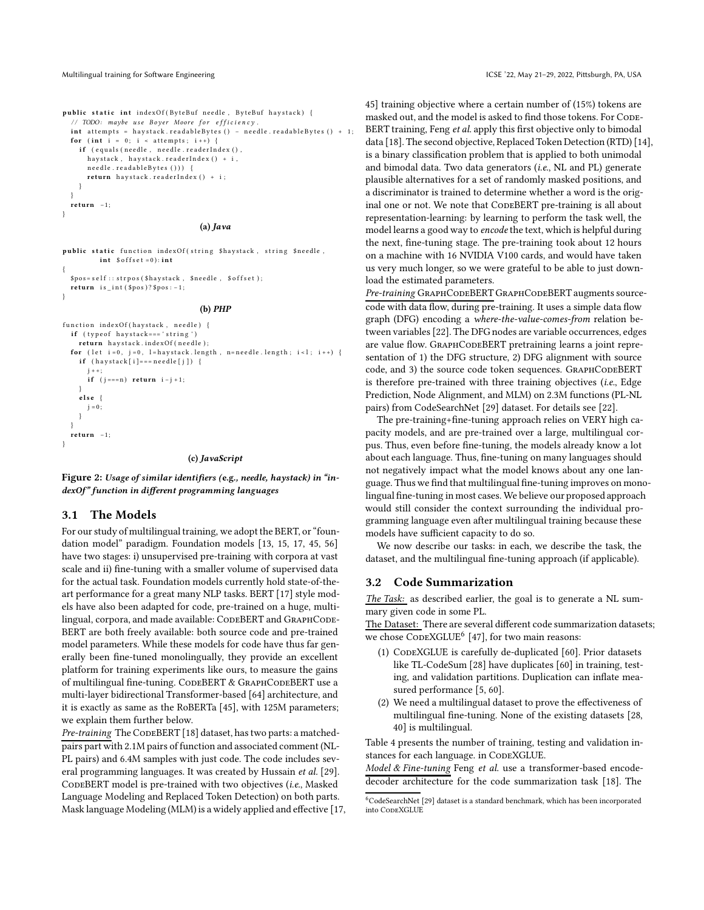<span id="page-4-0"></span>

public static int indexOf (ByteBuf needle, ByteBuf haystack) { // TODO: maybe use Boyer Moore for efficiency.  $int$  attempts = haystack.readableBytes () - needle.readableBytes () + 1; for (int  $i = 0$ ;  $i <$  attempts;  $i +$ ) {<br>
if (equals(needle, needle.readerIndex(), h ay stack, h ay stack. r e a d er Index () + i, n e e d l e . r e a d a b l e B y t e s () ) ) { return hay stack. readerIndex () + i; } } return -1:

#### (a) Java

public static function indexOf(string \$haystack, string \$needle, int  $\text{\$offset = 0):}$ 

```
$pos = self :: strpos ($haystack, $sneedle , $offset);return is __int ($pos)?$pos: -1;
```
#### (b) PHP

```
function indexOf(haystack, needle) {
  if ( type of hay stack === 'string')
    return hay stack. index Of (needle);
  for (let i = 0, j = 0, l=haystack.length, n=needle.length; i < l; i++) {
    if (haystack[i]===needle[j]) {
       j + +;<br>if (j = = = n) return i − j + 1;
    e lse {
      j = 0;}
  }
  re turn −1;
}
```
#### (c) JavaScript

Figure 2: Usage of similar identifiers (e.g., needle, haystack) in "indexOf" function in different programming languages

# <span id="page-4-2"></span>3.1 The Models

For our study of multilingual training, we adopt the BERT, or "foundation model" paradigm. Foundation models [\[13](#page-10-19), [15,](#page-10-20) [17,](#page-10-15) [45](#page-11-25), [56\]](#page-11-31) have two stages: i) unsupervised pre-training with corpora at vast scale and ii) fine-tuning with a smaller volume of supervised data for the actual task. Foundation models currently hold state-of-theart performance for a great many NLP tasks. BERT [\[17\]](#page-10-15) style models have also been adapted for code, pre-trained on a huge, multilingual, corpora, and made available: CODEBERT and GRAPHCODE-BERT are both freely available: both source code and pre-trained model parameters. While these models for code have thus far generally been fine-tuned monolingually, they provide an excellent platform for training experiments like ours, to measure the gains of multilingual fine-tuning. CODEBERT & GRAPHCODEBERT use a multi-layer bidirectional Transformer-based [\[64\]](#page-11-32) architecture, and it is exactly as same as the RoBERTa [\[45](#page-11-25)], with 125M parameters; we explain them further below.

Pre-training The CODEBERT [\[18\]](#page-10-6) dataset, has two parts: a matchedpairs part with 2.1M pairs of function and associated comment (NL-PL pairs) and 6.4M samples with just code. The code includes several programming languages. It was created by Hussain et al. [\[29](#page-11-33)]. CODEBERT model is pre-trained with two objectives (i.e., Masked Language Modeling and Replaced Token Detection) on both parts. Mask language Modeling (MLM) is a widely applied and effective [\[17,](#page-10-15)

[45](#page-11-25)] training objective where a certain number of (15%) tokens are masked out, and the model is asked to find those tokens. For CODE-BERT training, Feng et al. apply this first objective only to bimodal data [\[18\]](#page-10-6). The second objective, Replaced Token Detection (RTD) [\[14\]](#page-10-21), is a binary classification problem that is applied to both unimodal and bimodal data. Two data generators (i.e., NL and PL) generate plausible alternatives for a set of randomly masked positions, and a discriminator is trained to determine whether a word is the original one or not. We note that CodeBERT pre-training is all about representation-learning: by learning to perform the task well, the model learns a good way to encode the text, which is helpful during the next, fine-tuning stage. The pre-training took about 12 hours on a machine with 16 NVIDIA V100 cards, and would have taken us very much longer, so we were grateful to be able to just download the estimated parameters.

Pre-training GRAPHCODEBERT GRAPHCODEBERT augments sourcecode with data flow, during pre-training. It uses a simple data flow graph (DFG) encoding a where-the-value-comes-from relation between variables [\[22\]](#page-10-14). The DFG nodes are variable occurrences, edges are value flow. GRAPHCODEBERT pretraining learns a joint representation of 1) the DFG structure, 2) DFG alignment with source code, and 3) the source code token sequences. GRAPHCODEBERT is therefore pre-trained with three training objectives (i.e., Edge Prediction, Node Alignment, and MLM) on 2.3M functions (PL-NL pairs) from CodeSearchNet [\[29\]](#page-11-33) dataset. For details see [\[22](#page-10-14)].

The pre-training+fine-tuning approach relies on VERY high capacity models, and are pre-trained over a large, multilingual corpus. Thus, even before fine-tuning, the models already know a lot about each language. Thus, fine-tuning on many languages should not negatively impact what the model knows about any one language. Thus we find that multilingual fine-tuning improves on monolingual fine-tuning in most cases. We believe our proposed approach would still consider the context surrounding the individual programming language even after multilingual training because these models have sufficient capacity to do so.

We now describe our tasks: in each, we describe the task, the dataset, and the multilingual fine-tuning approach (if applicable).

# 3.2 Code Summarization

The Task: as described earlier, the goal is to generate a NL summary given code in some PL.

The Dataset: There are several different code summarization datasets; we chose  $\mathrm{Co}\mathrm{n}\mathrm{s}\mathrm{X}\mathrm{G}\mathrm{L}\mathrm{U}\mathrm{E}^6$  $\mathrm{Co}\mathrm{n}\mathrm{s}\mathrm{X}\mathrm{G}\mathrm{L}\mathrm{U}\mathrm{E}^6$  [47], for two main reasons:

- (1) CODEXGLUE is carefully de-duplicated [\[60\]](#page-11-34). Prior datasets like TL-CodeSum [\[28\]](#page-11-12) have duplicates [\[60](#page-11-34)] in training, testing, and validation partitions. Duplication can inflate measured performance [\[5,](#page-10-22) [60\]](#page-11-34).
- (2) We need a multilingual dataset to prove the effectiveness of multilingual fine-tuning. None of the existing datasets [\[28](#page-11-12), [40\]](#page-11-6) is multilingual.

Table [4](#page-5-0) presents the number of training, testing and validation instances for each language. in CODEXGLUE.

Model & Fine-tuning Feng et al. use a transformer-based encodedecoder architecture for the code summarization task [\[18\]](#page-10-6). The

<span id="page-4-1"></span><sup>6</sup>CodeSearchNet [\[29\]](#page-11-33) dataset is a standard benchmark, which has been incorporated into CodeXGLUE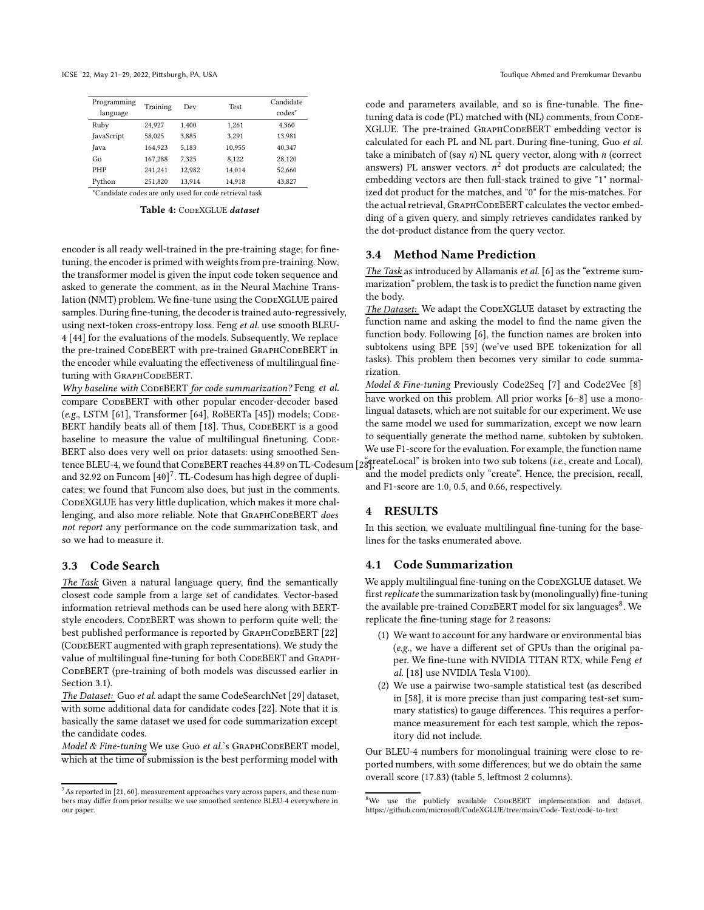<span id="page-5-0"></span>

| Programming | Training | Dev    | <b>Test</b> | Candidate          |
|-------------|----------|--------|-------------|--------------------|
| language    |          |        |             | codes <sup>*</sup> |
| Ruby        | 24.927   | 1.400  | 1.261       | 4.360              |
| JavaScript  | 58,025   | 3.885  | 3.291       | 13,981             |
| Java        | 164,923  | 5.183  | 10,955      | 40,347             |
| Go          | 167.288  | 7.325  | 8.122       | 28,120             |
| <b>PHP</b>  | 241,241  | 12.982 | 14.014      | 52,660             |
| Pvthon      | 251,820  | 13.914 | 14.918      | 43,827             |

\*Candidate codes are only used for code retrieval task

Table 4: CODEXGLUE dataset

encoder is all ready well-trained in the pre-training stage; for finetuning, the encoder is primed with weights from pre-training. Now, the transformer model is given the input code token sequence and asked to generate the comment, as in the Neural Machine Translation (NMT) problem. We fine-tune using the CODEXGLUE paired samples. During fine-tuning, the decoder is trained auto-regressively, using next-token cross-entropy loss. Feng et al. use smooth BLEU-4 [\[44\]](#page-11-35) for the evaluations of the models. Subsequently, We replace the pre-trained CODEBERT with pre-trained GRAPHCODEBERT in the encoder while evaluating the effectiveness of multilingual finetuning with GRAPHCODEBERT.

Why baseline with CODEBERT for code summarization? Feng et al. compare CODEBERT with other popular encoder-decoder based (e.g., LSTM [\[61\]](#page-11-36), Transformer [\[64\]](#page-11-32), RoBERTa [\[45](#page-11-25)]) models; CODE-BERT handily beats all of them [\[18\]](#page-10-6). Thus, CODEBERT is a good baseline to measure the value of multilingual finetuning. CODE-BERT also does very well on prior datasets: using smoothed Sentence BLEU-4, we found that CODEBERT reaches 44.89 on TL-Codesum [289]; eateLocal" is broken into two sub tokens (i.e., create and Local), and 32.92 on Funcom  $[40]^7$  $[40]^7$ . TL-Codesum has high degree of duplicates; we found that Funcom also does, but just in the comments. CODEXGLUE has very little duplication, which makes it more challenging, and also more reliable. Note that GRAPHCODEBERT does not report any performance on the code summarization task, and so we had to measure it.

### 3.3 Code Search

The Task Given a natural language query, find the semantically closest code sample from a large set of candidates. Vector-based information retrieval methods can be used here along with BERTstyle encoders. CODEBERT was shown to perform quite well; the best published performance is reported by GRAPHCODEBERT [\[22\]](#page-10-14) (CODEBERT augmented with graph representations). We study the value of multilingual fine-tuning for both CODEBERT and GRAPH-CodeBERT (pre-training of both models was discussed earlier in Section [3.1\)](#page-4-2).

The Dataset: Guo et al. adapt the same CodeSearchNet [\[29](#page-11-33)] dataset, with some additional data for candidate codes [\[22](#page-10-14)]. Note that it is basically the same dataset we used for code summarization except the candidate codes.

Model & Fine-tuning We use Guo et al.'s GRAPHCODEBERT model, which at the time of submission is the best performing model with

code and parameters available, and so is fine-tunable. The finetuning data is code (PL) matched with (NL) comments, from CODE-XGLUE. The pre-trained GRAPHCODEBERT embedding vector is calculated for each PL and NL part. During fine-tuning, Guo et al. take a minibatch of (say  $n$ ) NL query vector, along with  $n$  (correct answers) PL answer vectors.  $n^2$  dot products are calculated; the embedding vectors are then full-stack trained to give "1" normalized dot product for the matches, and "0" for the mis-matches. For the actual retrieval, GRAPHCODEBERT calculates the vector embedding of a given query, and simply retrieves candidates ranked by the dot-product distance from the query vector.

#### 3.4 Method Name Prediction

The Task as introduced by Allamanis et al. [\[6\]](#page-10-23) as the "extreme summarization" problem, the task is to predict the function name given the body.

The Dataset: We adapt the CODEXGLUE dataset by extracting the function name and asking the model to find the name given the function body. Following [\[6](#page-10-23)], the function names are broken into subtokens using BPE [\[59\]](#page-11-37) (we've used BPE tokenization for all tasks). This problem then becomes very similar to code summarization.

Model & Fine-tuning Previously Code2Seq [\[7](#page-10-9)] and Code2Vec [\[8\]](#page-10-24) have worked on this problem. All prior works [\[6](#page-10-23)[–8](#page-10-24)] use a monolingual datasets, which are not suitable for our experiment. We use the same model we used for summarization, except we now learn to sequentially generate the method name, subtoken by subtoken. We use F1-score for the evaluation. For example, the function name and the model predicts only "create". Hence, the precision, recall, and F1-score are 1.0, 0.5, and 0.66, respectively.

# 4 RESULTS

In this section, we evaluate multilingual fine-tuning for the baselines for the tasks enumerated above.

#### 4.1 Code Summarization

We apply multilingual fine-tuning on the CODEXGLUE dataset. We first replicate the summarization task by (monolingually) fine-tuning the available pre-trained ConeBERT model for six languages<sup>[8](#page-5-2)</sup>. We replicate the fine-tuning stage for 2 reasons:

- (1) We want to account for any hardware or environmental bias (e.g., we have a different set of GPUs than the original paper. We fine-tune with NVIDIA TITAN RTX, while Feng et al. [\[18\]](#page-10-6) use NVIDIA Tesla V100).
- (2) We use a pairwise two-sample statistical test (as described in [\[58\]](#page-11-38), it is more precise than just comparing test-set summary statistics) to gauge differences. This requires a performance measurement for each test sample, which the repository did not include.

Our BLEU-4 numbers for monolingual training were close to reported numbers, with some differences; but we do obtain the same overall score (17.83) (table [5,](#page-7-0) leftmost 2 columns).

<span id="page-5-1"></span> $7$ As reported in [\[21,](#page-10-4) [60](#page-11-34)], measurement approaches vary across papers, and these numbers may differ from prior results: we use smoothed sentence BLEU-4 everywhere in our paper.

<span id="page-5-2"></span> $8$ We use the publicly available CODEBERT implementation and dataset, <https://github.com/microsoft/CodeXGLUE/tree/main/Code-Text/code-to-text>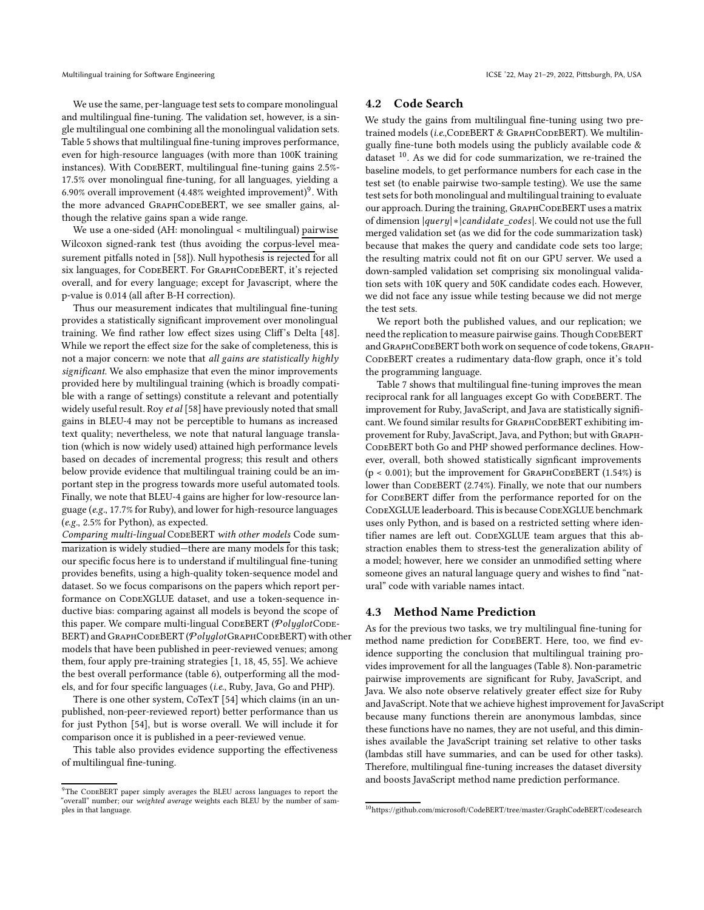We use the same, per-language test sets to compare monolingual and multilingual fine-tuning. The validation set, however, is a single multilingual one combining all the monolingual validation sets. Table [5](#page-7-0) shows that multilingual fine-tuning improves performance, even for high-resource languages (with more than 100K training instances). With CODEBERT, multilingual fine-tuning gains 2.5%-17.5% over monolingual fine-tuning, for all languages, yielding a 6.[9](#page-6-0)0% overall improvement (4.48% weighted improvement)<sup>9</sup>. With the more advanced GRAPHCODEBERT, we see smaller gains, although the relative gains span a wide range.

We use a one-sided (AH: monolingual < multilingual) pairwise Wilcoxon signed-rank test (thus avoiding the corpus-level measurement pitfalls noted in [\[58](#page-11-38)]). Null hypothesis is rejected for all six languages, for CODEBERT. For GRAPHCODEBERT, it's rejected overall, and for every language; except for Javascript, where the p-value is 0.014 (all after B-H correction).

Thus our measurement indicates that multilingual fine-tuning provides a statistically significant improvement over monolingual training. We find rather low effect sizes using Cliff's Delta [\[48](#page-11-39)]. While we report the effect size for the sake of completeness, this is not a major concern: we note that all gains are statistically highly significant. We also emphasize that even the minor improvements provided here by multilingual training (which is broadly compatible with a range of settings) constitute a relevant and potentially widely useful result. Roy et al [\[58](#page-11-38)] have previously noted that small gains in BLEU-4 may not be perceptible to humans as increased text quality; nevertheless, we note that natural language translation (which is now widely used) attained high performance levels based on decades of incremental progress; this result and others below provide evidence that multilingual training could be an important step in the progress towards more useful automated tools. Finally, we note that BLEU-4 gains are higher for low-resource language (e.g., 17.7% for Ruby), and lower for high-resource languages (e.g., 2.5% for Python), as expected.

Comparing multi-lingual CODEBERT with other models Code summarization is widely studied—there are many models for this task; our specific focus here is to understand if multilingual fine-tuning provides benefits, using a high-quality token-sequence model and dataset. So we focus comparisons on the papers which report performance on CODEXGLUE dataset, and use a token-sequence inductive bias: comparing against all models is beyond the scope of this paper. We compare multi-lingual CODEBERT ( $PolyglotC$ ODE-BERT) and GRAPHCODEBERT (PolyglotGRAPHCODEBERT) with other models that have been published in peer-reviewed venues; among them, four apply pre-training strategies [\[1,](#page-10-7) [18](#page-10-6), [45,](#page-11-25) [55](#page-11-9)]. We achieve the best overall performance (table [6\)](#page-7-1), outperforming all the models, and for four specific languages (i.e., Ruby, Java, Go and PHP).

There is one other system, CoTexT [\[54](#page-11-8)] which claims (in an unpublished, non-peer-reviewed report) better performance than us for just Python [\[54\]](#page-11-8), but is worse overall. We will include it for comparison once it is published in a peer-reviewed venue.

This table also provides evidence supporting the effectiveness of multilingual fine-tuning.

### 4.2 Code Search

We study the gains from multilingual fine-tuning using two pretrained models (i.e.,CODEBERT & GRAPHCODEBERT). We multilingually fine-tune both models using the publicly available code & dataset  $10$ . As we did for code summarization, we re-trained the baseline models, to get performance numbers for each case in the test set (to enable pairwise two-sample testing). We use the same test sets for both monolingual and multilingual training to evaluate our approach. During the training, GRAPHCODEBERT uses a matrix of dimension |query| \* |candidate\_codes|. We could not use the full merged validation set (as we did for the code summarization task) because that makes the query and candidate code sets too large; the resulting matrix could not fit on our GPU server. We used a down-sampled validation set comprising six monolingual validation sets with 10K query and 50K candidate codes each. However, we did not face any issue while testing because we did not merge the test sets.

We report both the published values, and our replication; we need the replication to measure pairwise gains. Though CODEBERT and GRAPHCODEBERT both work on sequence of code tokens, GRAPH-CODEBERT creates a rudimentary data-flow graph, once it's told the programming language.

Table [7](#page-8-0) shows that multilingual fine-tuning improves the mean reciprocal rank for all languages except Go with CODEBERT. The improvement for Ruby, JavaScript, and Java are statistically significant. We found similar results for GRAPHCODEBERT exhibiting improvement for Ruby, JavaScript, Java, and Python; but with Graph-CodeBERT both Go and PHP showed performance declines. However, overall, both showed statistically signficant improvements  $(p < 0.001)$ ; but the improvement for GRAPHCODEBERT  $(1.54\%)$  is lower than CODEBERT (2.74%). Finally, we note that our numbers for CODEBERT differ from the performance reported for on the CODEXGLUE leaderboard. This is because CODEXGLUE benchmark uses only Python, and is based on a restricted setting where identifier names are left out. CODEXGLUE team argues that this abstraction enables them to stress-test the generalization ability of a model; however, here we consider an unmodified setting where someone gives an natural language query and wishes to find "natural" code with variable names intact.

### 4.3 Method Name Prediction

As for the previous two tasks, we try multilingual fine-tuning for method name prediction for CODEBERT. Here, too, we find evidence supporting the conclusion that multilingual training provides improvement for all the languages (Table [8\)](#page-8-1). Non-parametric pairwise improvements are significant for Ruby, JavaScript, and Java. We also note observe relatively greater effect size for Ruby and JavaScript. Note that we achieve highest improvement for JavaScript because many functions therein are anonymous lambdas, since these functions have no names, they are not useful, and this diminishes available the JavaScript training set relative to other tasks (lambdas still have summaries, and can be used for other tasks). Therefore, multilingual fine-tuning increases the dataset diversity and boosts JavaScript method name prediction performance.

<span id="page-6-0"></span><sup>&</sup>lt;sup>9</sup>The CODEBERT paper simply averages the BLEU across languages to report the "overall" number; our weighted average weights each BLEU by the number of samples in that language.

<span id="page-6-1"></span><sup>10</sup>https://github.com/microsoft/CodeBERT/tree/master/GraphCodeBERT/codesearch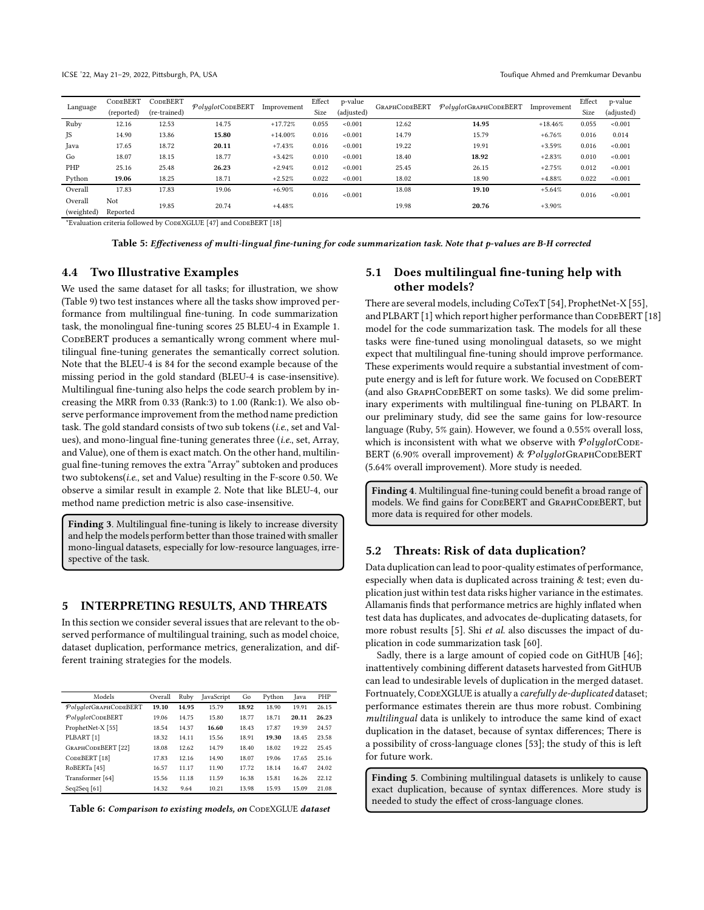<span id="page-7-0"></span>

|            | CODEBERT   | CODEBERT     | PolyglotCODEBERT | Improvement | Effect | p-value    | <b>GRAPHCODEBERT</b> | $Polydot$ GraphCodeBERT | Improvement | Effect | p-value    |
|------------|------------|--------------|------------------|-------------|--------|------------|----------------------|-------------------------|-------------|--------|------------|
| Language   | (reported) | (re-trained) |                  |             | Size   | (adjusted) |                      |                         |             | Size   | (adjusted) |
| Ruby       | 12.16      | 12.53        | 14.75            | $+17.72%$   | 0.055  | < 0.001    | 12.62                | 14.95                   | $+18.46%$   | 0.055  | < 0.001    |
| JS         | 14.90      | 13.86        | 15.80            | $+14.00%$   | 0.016  | < 0.001    | 14.79                | 15.79                   | $+6.76%$    | 0.016  | 0.014      |
| Java       | 17.65      | 18.72        | 20.11            | $+7.43%$    | 0.016  | < 0.001    | 19.22                | 19.91                   | $+3.59%$    | 0.016  | < 0.001    |
| Go         | 18.07      | 18.15        | 18.77            | $+3.42%$    | 0.010  | < 0.001    | 18.40                | 18.92                   | $+2.83%$    | 0.010  | < 0.001    |
| PHP        | 25.16      | 25.48        | 26.23            | $+2.94%$    | 0.012  | < 0.001    | 25.45                | 26.15                   | $+2.75%$    | 0.012  | < 0.001    |
| Python     | 19.06      | 18.25        | 18.71            | $+2.52%$    | 0.022  | < 0.001    | 18.02                | 18.90                   | $+4.88%$    | 0.022  | < 0.001    |
| Overall    | 17.83      | 17.83        | 19.06            | $+6.90%$    | 0.016  | < 0.001    | 18.08                | 19.10                   | $+5.64%$    | 0.016  | < 0.001    |
| Overall    | Not        | 19.85        | 20.74            | $+4.48%$    |        |            | 19.98                | 20.76                   | $+3.90%$    |        |            |
| (weighted) | Reported   |              |                  |             |        |            |                      |                         |             |        |            |

\*Evaluation criteria followed by CodeXGLUE [47] and CodeBERT [\[18\]](#page-10-6)

Table 5: Effectiveness of multi-lingual fine-tuning for code summarization task. Note that p-values are B-H corrected

### 4.4 Two Illustrative Examples

We used the same dataset for all tasks; for illustration, we show (Table [9\)](#page-8-2) two test instances where all the tasks show improved performance from multilingual fine-tuning. In code summarization task, the monolingual fine-tuning scores 25 BLEU-4 in Example 1. CODEBERT produces a semantically wrong comment where multilingual fine-tuning generates the semantically correct solution. Note that the BLEU-4 is 84 for the second example because of the missing period in the gold standard (BLEU-4 is case-insensitive). Multilingual fine-tuning also helps the code search problem by increasing the MRR from 0.33 (Rank:3) to 1.00 (Rank:1). We also observe performance improvement from the method name prediction task. The gold standard consists of two sub tokens (i.e., set and Values), and mono-lingual fine-tuning generates three (i.e., set, Array, and Value), one of them is exact match. On the other hand, multilingual fine-tuning removes the extra "Array" subtoken and produces two subtokens(i.e., set and Value) resulting in the F-score 0.50. We observe a similar result in example 2. Note that like BLEU-4, our method name prediction metric is also case-insensitive.

Finding 3. Multilingual fine-tuning is likely to increase diversity and help the models perform better than those trained with smaller mono-lingual datasets, especially for low-resource languages, irrespective of the task.

# 5 INTERPRETING RESULTS, AND THREATS

In this section we consider several issues that are relevant to the observed performance of multilingual training, such as model choice, dataset duplication, performance metrics, generalization, and different training strategies for the models.

<span id="page-7-1"></span>

| Models                   | Overall | Ruby  | JavaScript | Go    | Python | Java  | PHP   |
|--------------------------|---------|-------|------------|-------|--------|-------|-------|
| PolyglotGRAPHCODEBERT    | 19.10   | 14.95 | 15.79      | 18.92 | 18.90  | 19.91 | 26.15 |
| PolyglotCODEBERT         | 19.06   | 14.75 | 15.80      | 18.77 | 18.71  | 20.11 | 26.23 |
| ProphetNet-X [55]        | 18.54   | 14.37 | 16.60      | 18.43 | 17.87  | 19.39 | 24.57 |
| PLBART [1]               | 18.32   | 14.11 | 15.56      | 18.91 | 19.30  | 18.45 | 23.58 |
| GRAPHCODEBERT [22]       | 18.08   | 12.62 | 14.79      | 18.40 | 18.02  | 19.22 | 25.45 |
| CODEBERT <sup>[18]</sup> | 17.83   | 12.16 | 14.90      | 18.07 | 19.06  | 17.65 | 25.16 |
| RoBERTa <sup>[45]</sup>  | 16.57   | 11.17 | 11.90      | 17.72 | 18.14  | 16.47 | 24.02 |
| Transformer [64]         | 15.56   | 11.18 | 11.59      | 16.38 | 15.81  | 16.26 | 22.12 |
| Seq2Seq $[61]$           | 14.32   | 9.64  | 10.21      | 13.98 | 15.93  | 15.09 | 21.08 |

Table 6: Comparison to existing models, on CODEXGLUE dataset

# 5.1 Does multilingual fine-tuning help with other models?

There are several models, including CoTexT [\[54\]](#page-11-8), ProphetNet-X [\[55](#page-11-9)], and PLBART [\[1\]](#page-10-7) which report higher performance than CODEBERT [\[18](#page-10-6)] model for the code summarization task. The models for all these tasks were fine-tuned using monolingual datasets, so we might expect that multilingual fine-tuning should improve performance. These experiments would require a substantial investment of compute energy and is left for future work. We focused on CODEBERT (and also GraphCodeBERT on some tasks). We did some preliminary experiments with multilingual fine-tuning on PLBART. In our preliminary study, did see the same gains for low-resource language (Ruby, 5% gain). However, we found a 0.55% overall loss, which is inconsistent with what we observe with  $\mathcal{Polyglot}\text{CODE}$ -BERT (6.90% overall improvement) & PolyglotGRAPHCODEBERT (5.64% overall improvement). More study is needed.

Finding 4. Multilingual fine-tuning could benefit a broad range of models. We find gains for CODEBERT and GRAPHCODEBERT, but more data is required for other models.

### 5.2 Threats: Risk of data duplication?

Data duplication can lead to poor-quality estimates of performance, especially when data is duplicated across training & test; even duplication just within test data risks higher variance in the estimates. Allamanis finds that performance metrics are highly inflated when test data has duplicates, and advocates de-duplicating datasets, for more robust results [\[5\]](#page-10-22). Shi et al. also discusses the impact of duplication in code summarization task [\[60\]](#page-11-34).

Sadly, there is a large amount of copied code on GitHUB [\[46\]](#page-11-40); inattentively combining different datasets harvested from GitHUB can lead to undesirable levels of duplication in the merged dataset. Fortnuately, CODEXGLUE is atually a carefully de-duplicated dataset; performance estimates therein are thus more robust. Combining multilingual data is unlikely to introduce the same kind of exact duplication in the dataset, because of syntax differences; There is a possibility of cross-language clones [\[53](#page-11-41)]; the study of this is left for future work.

Finding 5. Combining multilingual datasets is unlikely to cause exact duplication, because of syntax differences. More study is needed to study the effect of cross-language clones.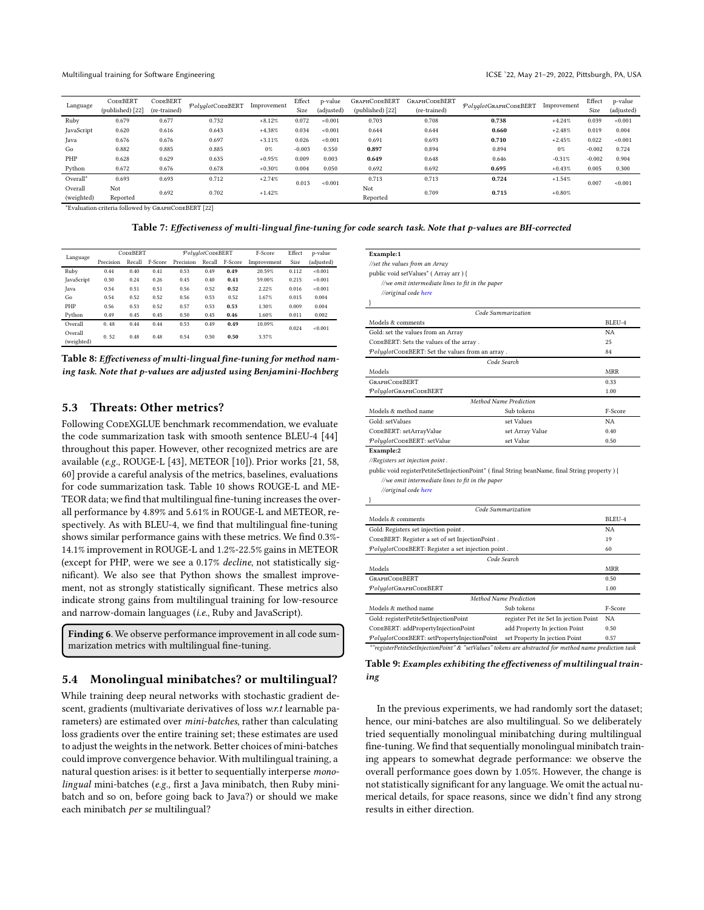<span id="page-8-0"></span>

| CODEBERT               | <b>CODEBERT</b> |       |                           | Effect                  | p-value    | <b>GRAPHCODEBERT</b> | <b>GRAPHCODEBERT</b> |       |                                   | Effect                  | p-value    |
|------------------------|-----------------|-------|---------------------------|-------------------------|------------|----------------------|----------------------|-------|-----------------------------------|-------------------------|------------|
| (published) [22]       | (re-trained)    |       |                           | Size                    | (adjusted) | (published) [22]     | (re-trained)         |       |                                   | Size                    | (adjusted) |
| 0.679                  | 0.677           | 0.732 | $+8.12%$                  | 0.072                   | < 0.001    | 0.703                | 0.708                | 0.738 | $+4.24%$                          | 0.039                   | < 0.001    |
| 0.620                  | 0.616           | 0.643 | $+4.38%$                  | 0.034                   | < 0.001    | 0.644                | 0.644                | 0.660 | $+2.48%$                          | 0.019                   | 0.004      |
| 0.676                  | 0.676           | 0.697 | $+3.11%$                  | 0.026                   | < 0.001    | 0.691                | 0.693                | 0.710 | $+2.45%$                          | 0.022                   | < 0.001    |
| 0.882                  | 0.885           | 0.885 | $0\%$                     | $-0.003$                | 0.550      | 0.897                | 0.894                | 0.894 | 0%                                | $-0.002$                | 0.724      |
| 0.628                  | 0.629           | 0.635 | $+0.95%$                  | 0.009                   | 0.003      | 0.649                | 0.648                | 0.646 | $-0.31%$                          | $-0.002$                | 0.904      |
| 0.672                  | 0.676           | 0.678 | $+0.30%$                  | 0.004                   | 0.050      | 0.692                | 0.692                | 0.695 | $+0.43%$                          | 0.005                   | 0.300      |
| 0.693                  | 0.693           | 0.712 | $+2.74%$                  |                         |            | 0.713                | 0.713                | 0.724 | $+1.54%$                          |                         | < 0.001    |
| Not                    |                 |       |                           |                         |            | Not                  |                      |       |                                   |                         |            |
| (weighted)<br>Reported |                 |       |                           |                         |            | Reported             |                      |       |                                   |                         |            |
|                        |                 | 0.692 | PolyalotCODEBERT<br>0.702 | Improvement<br>$+1.42%$ | 0.013      | < 0.001              |                      | 0.709 | $Polyalot$ GRAPHCODEBERT<br>0.715 | Improvement<br>$+0.80%$ | 0.007      |

\*Evaluation criteria followed by GRAPHCODEBERT [\[22\]](#page-10-14)

Table 7: Effectiveness of multi-lingual fine-tuning for code search task. Note that p-values are BH-corrected

<span id="page-8-1"></span>

| Language   | <b>CODEBERT</b> |        |         |           | PolyglotCODEBERT |         |             | Effect | p-value    |
|------------|-----------------|--------|---------|-----------|------------------|---------|-------------|--------|------------|
|            | Precision       | Recall | F-Score | Precision | Recall           | F-Score | Improvement | Size   | (adjusted) |
| Ruby       | 0.44            | 0.40   | 0.41    | 0.53      | 0.49             | 0.49    | 20.59%      | 0.112  | < 0.001    |
| JavaScript | 0.30            | 0.24   | 0.26    | 0.45      | 0.40             | 0.41    | 59.00%      | 0.215  | < 0.001    |
| Java       | 0.54            | 0.51   | 0.51    | 0.56      | 0.52             | 0.52    | 2.22%       | 0.016  | < 0.001    |
| Go         | 0.54            | 0.52   | 0.52    | 0.56      | 0.53             | 0.52    | 1.67%       | 0.015  | 0.004      |
| PHP        | 0.56            | 0.53   | 0.52    | 0.57      | 0.53             | 0.53    | 1.30%       | 0.009  | 0.004      |
| Python     | 0.49            | 0.45   | 0.45    | 0.50      | 0.45             | 0.46    | 1.60%       | 0.011  | 0.002      |
| Overall    | 0.48            | 0.44   | 0.44    | 0.53      | 0.49             | 0.49    | 10.09%      | 0.024  |            |
| Overall    | 0.52            | 0.48   | 0.48    | 0.54      | 0.50             | 0.50    | 3.37%       |        | < 0.001    |
| (weighted) |                 |        |         |           |                  |         |             |        |            |



# 5.3 Threats: Other metrics?

Following CODEXGLUE benchmark recommendation, we evaluate the code summarization task with smooth sentence BLEU-4 [\[44\]](#page-11-35) throughout this paper. However, other recognized metrics are are available (e.g., ROUGE-L [\[43](#page-11-42)], METEOR [\[10](#page-10-25)]). Prior works [\[21,](#page-10-4) [58](#page-11-38), [60](#page-11-34)] provide a careful analysis of the metrics, baselines, evaluations for code summarization task. Table [10](#page-9-0) shows ROUGE-L and ME-TEOR data; we find that multilingual fine-tuning increases the overall performance by 4.89% and 5.61% in ROUGE-L and METEOR, respectively. As with BLEU-4, we find that multilingual fine-tuning shows similar performance gains with these metrics. We find 0.3%- 14.1% improvement in ROUGE-L and 1.2%-22.5% gains in METEOR (except for PHP, were we see a 0.17% decline, not statistically significant). We also see that Python shows the smallest improvement, not as strongly statistically significant. These metrics also indicate strong gains from multilingual training for low-resource and narrow-domain languages (i.e., Ruby and JavaScript).

Finding 6. We observe performance improvement in all code summarization metrics with multilingual fine-tuning.

# 5.4 Monolingual minibatches? or multilingual?

While training deep neural networks with stochastic gradient descent, gradients (multivariate derivatives of loss w.r.t learnable parameters) are estimated over mini-batches, rather than calculating loss gradients over the entire training set; these estimates are used to adjust the weights in the network. Better choices of mini-batches could improve convergence behavior. With multilingual training, a natural question arises: is it better to sequentially interperse monolingual mini-batches (e.g., first a Java minibatch, then Ruby minibatch and so on, before going back to Java?) or should we make each minibatch per se multilingual?

<span id="page-8-2"></span>

| Example:1                            |  |
|--------------------------------------|--|
| //set the values from an Array       |  |
| public void setValues* (Array arr) { |  |

//we omit intermediate lines to fit in the paper

//original code [here](https://github.com/Unidata/thredds/blob/d2d68f9eee87f345625211324d71d5dc3e162ee1/cdm/src/main/java/ucar/nc2/Attribute.java#L548-L596 )

|                                                 | Code Summarization     |         |
|-------------------------------------------------|------------------------|---------|
| Models & comments                               |                        | BLEU-4  |
| Gold: set the values from an Array              |                        | NA      |
| CODEBERT: Sets the values of the array.         | 25                     |         |
| PolyglotCODEBERT: Set the values from an array. | 84                     |         |
|                                                 | Code Search            |         |
| Models                                          |                        | MRR     |
| <b>GRAPHCODEBERT</b>                            |                        | 0.33    |
| PolyglotGRAPHCODEBERT                           |                        | 1.00    |
|                                                 | Method Name Prediction |         |
| Models & method name                            | Sub tokens             | F-Score |
| Gold: setValues                                 | set Values             | NA.     |
| CODEBERT: setArrayValue                         | set Array Value        | 0.40    |
| PolyglotCODEBERT: setValue                      | set Value              | 0.50    |
| Example:2                                       |                        |         |

//Registers set injection point

public void registerPetiteSetInjectionPoint\* ( final String beanName, final String property ) { //we omit intermediate lines to fit in the paper

//original code [here](https://github.com/oblac/jodd/blob/85ad7f813ec0e07ecd27042aeb47ff2047631fa5/jodd-petite/src/main/java/jodd/petite/PetiteBeans.java#L585-L598 )

|                                                                                                        | Code Summarization                    |            |  |
|--------------------------------------------------------------------------------------------------------|---------------------------------------|------------|--|
| Models & comments                                                                                      |                                       | BLEU-4     |  |
| Gold: Registers set injection point.                                                                   |                                       | NA         |  |
| CODEBERT: Register a set of set InjectionPoint.                                                        |                                       | 19         |  |
| PolyglotCODEBERT: Register a set injection point.                                                      |                                       | 60         |  |
|                                                                                                        |                                       |            |  |
| Models                                                                                                 |                                       | <b>MRR</b> |  |
| <b>GRAPHCODEBERT</b>                                                                                   |                                       | 0.50       |  |
| PolyglotGRAPHCODEBERT                                                                                  |                                       | 1.00       |  |
| Code Search<br>Method Name Prediction<br>Models & method name<br>Sub tokens                            |                                       |            |  |
|                                                                                                        |                                       | F-Score    |  |
| Gold: registerPetiteSetInjectionPoint                                                                  | register Pet ite Set In jection Point | NA         |  |
| CODEBERT: addPropertyInjectionPoint                                                                    | add Property In jection Point         | 0.50       |  |
| PolyglotCODEBERT: setPropertyInjectionPoint                                                            | set Property In jection Point         | 0.57       |  |
| *"registerPetiteSetInjectionPoint" & "setValues" tokens are abstracted for method name prediction task |                                       |            |  |

### Table 9: Examples exhibiting the effectiveness of multilingual training

In the previous experiments, we had randomly sort the dataset; hence, our mini-batches are also multilingual. So we deliberately tried sequentially monolingual minibatching during multilingual fine-tuning. We find that sequentially monolingual minibatch training appears to somewhat degrade performance: we observe the overall performance goes down by 1.05%. However, the change is not statistically significant for any language. We omit the actual numerical details, for space reasons, since we didn't find any strong results in either direction.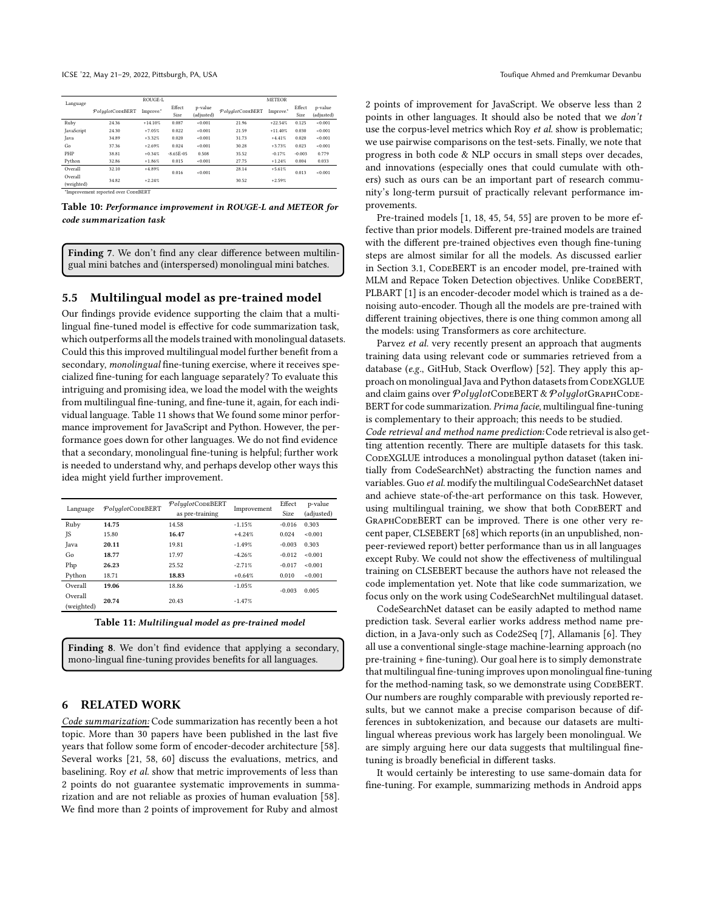<span id="page-9-0"></span>

| Language     |                                     | ROUGE-L   |              |            | <b>METEOR</b>    |           |          |            |  |  |
|--------------|-------------------------------------|-----------|--------------|------------|------------------|-----------|----------|------------|--|--|
|              | PolyglotCODEBERT                    | Improve.* | Effect       | p-value    | PolyalotCODEBERT | Improve." | Effect   | p-value    |  |  |
|              |                                     |           | Size         | (adjusted) |                  |           | Size     | (adjusted) |  |  |
| Ruby         | 24.36                               | $+14.10%$ | 0.087        | $-0.001$   | 21.96            | $+22.54%$ | 0.125    | $-0.001$   |  |  |
| JavaScript   | 24.30                               | $+7.05%$  | 0.022        | $-0.001$   | 21.59            | $+11.40%$ | 0.030    | < 0.001    |  |  |
| <b>J</b> ava | 34.89                               | $+3.32%$  | 0.020        | $-0.001$   | 31.73            | $+4.41%$  | 0.020    | < 0.001    |  |  |
| Go           | 37.36                               | $+2.69%$  | 0.024        | $-0.001$   | 30.28            | $+3.73%$  | 0.023    | < 0.001    |  |  |
| PHP          | 38.81                               | $+0.34%$  | $-865E - 05$ | 0.508      | 35.52            | $-0.17%$  | $-0.003$ | 0.779      |  |  |
| Python       | 32.86                               | $+1.86%$  | 0.015        | $-0.001$   | 27.75            | $+1.24%$  | 0.004    | 0.033      |  |  |
| Overall      | 32.10                               | $+4.89%$  | 0.016        | $-0.001$   | 28.14            | $+5.61%$  | 0.013    | < 0.001    |  |  |
| Overall      | 34.82                               | $+2.24%$  |              |            | 30.52            | $+2.59%$  |          |            |  |  |
| (weighted)   |                                     |           |              |            |                  |           |          |            |  |  |
|              | *Improvement reported over CopEBERT |           |              |            |                  |           |          |            |  |  |

Table 10: Performance improvement in ROUGE-L and METEOR for code summarization task

Finding 7. We don't find any clear difference between multilingual mini batches and (interspersed) monolingual mini batches.

#### 5.5 Multilingual model as pre-trained model

Our findings provide evidence supporting the claim that a multilingual fine-tuned model is effective for code summarization task, which outperforms all the models trained with monolingual datasets. Could this this improved multilingual model further benefit from a secondary, monolingual fine-tuning exercise, where it receives specialized fine-tuning for each language separately? To evaluate this intriguing and promising idea, we load the model with the weights from multilingual fine-tuning, and fine-tune it, again, for each individual language. Table [11](#page-9-1) shows that We found some minor performance improvement for JavaScript and Python. However, the performance goes down for other languages. We do not find evidence that a secondary, monolingual fine-tuning is helpful; further work is needed to understand why, and perhaps develop other ways this idea might yield further improvement.

<span id="page-9-1"></span>

| Language              | PolyglotCODEBERT | PolyglotCODEBERT | Improvement | Effect   | p-value    |
|-----------------------|------------------|------------------|-------------|----------|------------|
|                       |                  | as pre-training  |             | Size     | (adjusted) |
| Ruby                  | 14.75            | 14.58            | $-1.15%$    | $-0.016$ | 0.303      |
| <b>JS</b>             | 15.80            | 16.47            | $+4.24%$    | 0.024    | < 0.001    |
| Java                  | 20.11            | 19.81            | $-1.49%$    | $-0.003$ | 0.303      |
| Go                    | 18.77            | 17.97            | $-4.26%$    | $-0.012$ | < 0.001    |
| Php                   | 26.23            | 25.52            | $-2.71%$    | $-0.017$ | <0.001     |
| Python                | 18.71            | 18.83            | $+0.64%$    | 0.010    | < 0.001    |
| Overall               | 19.06            | 18.86            | $-1.05%$    | $-0.003$ | 0.005      |
| Overall<br>(weighted) | 20.74            | 20.43            | $-1.47%$    |          |            |
|                       |                  |                  |             |          |            |

Table 11: Multilingual model as pre-trained model

Finding 8. We don't find evidence that applying a secondary mono-lingual fine-tuning provides benefits for all languages.

### 6 RELATED WORK

Code summarization: Code summarization has recently been a hot topic. More than 30 papers have been published in the last five years that follow some form of encoder-decoder architecture [\[58](#page-11-38)]. Several works [\[21,](#page-10-4) [58](#page-11-38), [60](#page-11-34)] discuss the evaluations, metrics, and baselining. Roy et al. show that metric improvements of less than 2 points do not guarantee systematic improvements in summarization and are not reliable as proxies of human evaluation [\[58](#page-11-38)]. We find more than 2 points of improvement for Ruby and almost

2 points of improvement for JavaScript. We observe less than 2 points in other languages. It should also be noted that we don't use the corpus-level metrics which Roy et al. show is problematic; we use pairwise comparisons on the test-sets. Finally, we note that progress in both code & NLP occurs in small steps over decades, and innovations (especially ones that could cumulate with others) such as ours can be an important part of research community's long-term pursuit of practically relevant performance improvements.

Pre-trained models [\[1,](#page-10-7) [18,](#page-10-6) [45,](#page-11-25) [54,](#page-11-8) [55](#page-11-9)] are proven to be more effective than prior models. Different pre-trained models are trained with the different pre-trained objectives even though fine-tuning steps are almost similar for all the models. As discussed earlier in Section [3.1,](#page-4-2) CODEBERT is an encoder model, pre-trained with MLM and Repace Token Detection objectives. Unlike CODEBERT, PLBART [\[1](#page-10-7)] is an encoder-decoder model which is trained as a denoising auto-encoder. Though all the models are pre-trained with different training objectives, there is one thing common among all the models: using Transformers as core architecture.

Parvez et al. very recently present an approach that augments training data using relevant code or summaries retrieved from a database (e.g., GitHub, Stack Overflow) [\[52\]](#page-11-43). They apply this approach on monolingual Java and Python datasets from CoDEXGLUE and claim gains over PolyglotCODEBERT & PolyglotGRAPHCODE-BERT for code summarization. Prima facie, multilingual fine-tuning is complementary to their approach; this needs to be studied. Code retrieval and method name prediction:Code retrieval is also getting attention recently. There are multiple datasets for this task. CODEXGLUE introduces a monolingual python dataset (taken initially from CodeSearchNet) abstracting the function names and variables. Guo et al. modify the multilingual CodeSearchNet dataset and achieve state-of-the-art performance on this task. However, using multilingual training, we show that both CODEBERT and GraphCodeBERT can be improved. There is one other very recent paper, CLSEBERT [\[68\]](#page-11-44) which reports (in an unpublished, nonpeer-reviewed report) better performance than us in all languages except Ruby. We could not show the effectiveness of multilingual training on CLSEBERT because the authors have not released the code implementation yet. Note that like code summarization, we focus only on the work using CodeSearchNet multilingual dataset.

CodeSearchNet dataset can be easily adapted to method name prediction task. Several earlier works address method name prediction, in a Java-only such as Code2Seq [\[7](#page-10-9)], Allamanis [\[6\]](#page-10-23). They all use a conventional single-stage machine-learning approach (no pre-training + fine-tuning). Our goal here is to simply demonstrate that multilingual fine-tuning improves upon monolingual fine-tuning for the method-naming task, so we demonstrate using CodeBERT. Our numbers are roughly comparable with previously reported results, but we cannot make a precise comparison because of differences in subtokenization, and because our datasets are multilingual whereas previous work has largely been monolingual. We are simply arguing here our data suggests that multilingual finetuning is broadly beneficial in different tasks.

It would certainly be interesting to use same-domain data for fine-tuning. For example, summarizing methods in Android apps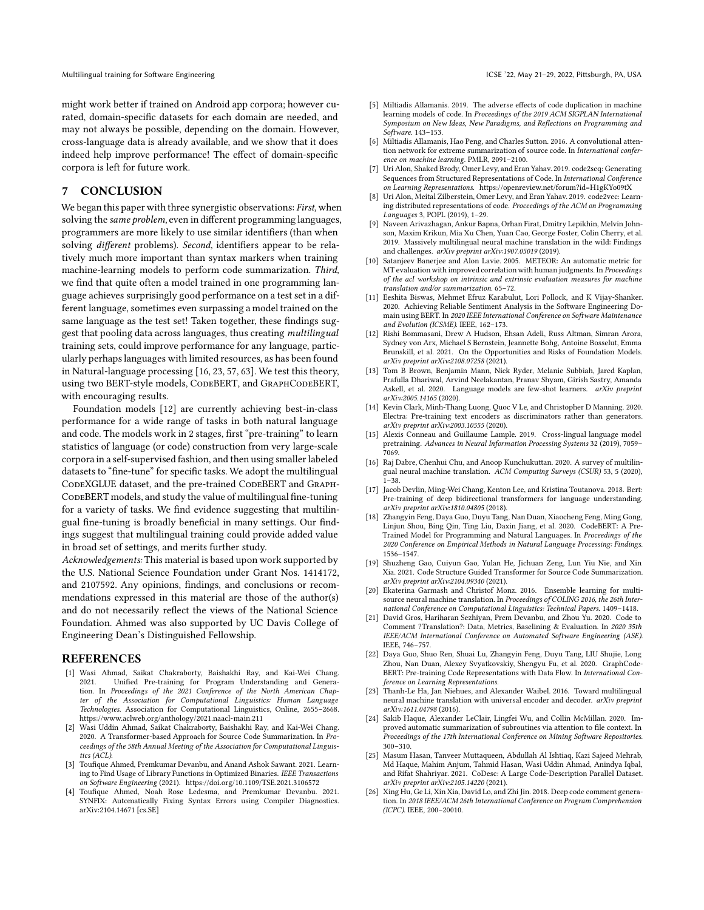might work better if trained on Android app corpora; however curated, domain-specific datasets for each domain are needed, and may not always be possible, depending on the domain. However, cross-language data is already available, and we show that it does indeed help improve performance! The effect of domain-specific corpora is left for future work.

# 7 CONCLUSION

We began this paper with three synergistic observations: First, when solving the same problem, even in different programming languages, programmers are more likely to use similar identifiers (than when solving different problems). Second, identifiers appear to be relatively much more important than syntax markers when training machine-learning models to perform code summarization. Third, we find that quite often a model trained in one programming language achieves surprisingly good performance on a test set in a different language, sometimes even surpassing a model trained on the same language as the test set! Taken together, these findings suggest that pooling data across languages, thus creating multilingual training sets, could improve performance for any language, particularly perhaps languages with limited resources, as has been found in Natural-language processing [\[16](#page-10-0), [23,](#page-10-1) [57,](#page-11-0) [63\]](#page-11-1). We test this theory, using two BERT-style models, CODEBERT, and GRAPHCODEBERT, with encouraging results.

Foundation models [\[12](#page-10-13)] are currently achieving best-in-class performance for a wide range of tasks in both natural language and code. The models work in 2 stages, first "pre-training" to learn statistics of language (or code) construction from very large-scale corpora in a self-supervised fashion, and then using smaller labeled datasets to "fine-tune" for specific tasks. We adopt the multilingual CODEXGLUE dataset, and the pre-trained CODEBERT and GRAPH-CODEBERT models, and study the value of multilingual fine-tuning for a variety of tasks. We find evidence suggesting that multilingual fine-tuning is broadly beneficial in many settings. Our findings suggest that multilingual training could provide added value in broad set of settings, and merits further study.

Acknowledgements: This material is based upon work supported by the U.S. National Science Foundation under Grant Nos. 1414172, and 2107592. Any opinions, findings, and conclusions or recommendations expressed in this material are those of the author(s) and do not necessarily reflect the views of the National Science Foundation. Ahmed was also supported by UC Davis College of Engineering Dean's Distinguished Fellowship.

#### REFERENCES

- <span id="page-10-7"></span>[1] Wasi Ahmad, Saikat Chakraborty, Baishakhi Ray, and Kai-Wei Chang. 2021. Unified Pre-training for Program Understanding and Generation. In Proceedings of the 2021 Conference of the North American Chapter of the Association for Computational Linguistics: Human Language Technologies. Association for Computational Linguistics, Online, 2655–2668. <https://www.aclweb.org/anthology/2021.naacl-main.211>
- <span id="page-10-8"></span>[2] Wasi Uddin Ahmad, Saikat Chakraborty, Baishakhi Ray, and Kai-Wei Chang. 2020. A Transformer-based Approach for Source Code Summarization. In Proceedings of the 58th Annual Meeting of the Association for Computational Linguistics (ACL).
- <span id="page-10-16"></span>[3] Toufique Ahmed, Premkumar Devanbu, and Anand Ashok Sawant. 2021. Learning to Find Usage of Library Functions in Optimized Binaries. IEEE Transactions on Software Engineering (2021).<https://doi.org/10.1109/TSE.2021.3106572>
- <span id="page-10-17"></span>[4] Toufique Ahmed, Noah Rose Ledesma, and Premkumar Devanbu. 2021. SYNFIX: Automatically Fixing Syntax Errors using Compiler Diagnostics. arXiv[:2104.14671](https://arxiv.org/abs/2104.14671) [cs.SE]
- <span id="page-10-22"></span>[5] Miltiadis Allamanis. 2019. The adverse effects of code duplication in machine learning models of code. In Proceedings of the 2019 ACM SIGPLAN International Symposium on New Ideas, New Paradigms, and Reflections on Programming and Software. 143–153.
- <span id="page-10-23"></span>[6] Miltiadis Allamanis, Hao Peng, and Charles Sutton. 2016. A convolutional attention network for extreme summarization of source code. In International conference on machine learning. PMLR, 2091–2100.
- <span id="page-10-9"></span>[7] Uri Alon, Shaked Brody, Omer Levy, and Eran Yahav. 2019. code2seq: Generating Sequences from Structured Representations of Code. In International Conference on Learning Representations.<https://openreview.net/forum?id=H1gKYo09tX>
- <span id="page-10-24"></span>[8] Uri Alon, Meital Zilberstein, Omer Levy, and Eran Yahav. 2019. code2vec: Learning distributed representations of code. Proceedings of the ACM on Programming Languages 3, POPL (2019), 1–29.
- <span id="page-10-2"></span>[9] Naveen Arivazhagan, Ankur Bapna, Orhan Firat, Dmitry Lepikhin, Melvin Johnson, Maxim Krikun, Mia Xu Chen, Yuan Cao, George Foster, Colin Cherry, et al. 2019. Massively multilingual neural machine translation in the wild: Findings and challenges. arXiv preprint arXiv:1907.05019 (2019).
- <span id="page-10-25"></span>[10] Satanjeev Banerjee and Alon Lavie. 2005. METEOR: An automatic metric for MT evaluation with improved correlation with human judgments. In Proceedings of the acl workshop on intrinsic and extrinsic evaluation measures for machine translation and/or summarization. 65–72.
- <span id="page-10-18"></span>[11] Eeshita Biswas, Mehmet Efruz Karabulut, Lori Pollock, and K Vijay-Shanker. 2020. Achieving Reliable Sentiment Analysis in the Software Engineering Domain using BERT. In 2020 IEEE International Conference on Software Maintenance and Evolution (ICSME). IEEE, 162–173.
- <span id="page-10-13"></span>[12] Rishi Bommasani, Drew A Hudson, Ehsan Adeli, Russ Altman, Simran Arora, Sydney von Arx, Michael S Bernstein, Jeannette Bohg, Antoine Bosselut, Emma Brunskill, et al. 2021. On the Opportunities and Risks of Foundation Models. arXiv preprint arXiv:2108.07258 (2021).
- <span id="page-10-19"></span>[13] Tom B Brown, Benjamin Mann, Nick Ryder, Melanie Subbiah, Jared Kaplan, Prafulla Dhariwal, Arvind Neelakantan, Pranav Shyam, Girish Sastry, Amanda Askell, et al. 2020. Language models are few-shot learners. arXiv preprint arXiv:2005.14165 (2020).
- <span id="page-10-21"></span>[14] Kevin Clark, Minh-Thang Luong, Quoc V Le, and Christopher D Manning. 2020. Electra: Pre-training text encoders as discriminators rather than generators. arXiv preprint arXiv:2003.10555 (2020).
- <span id="page-10-20"></span>[15] Alexis Conneau and Guillaume Lample. 2019. Cross-lingual language model pretraining. Advances in Neural Information Processing Systems 32 (2019), 7059– 7069.
- <span id="page-10-0"></span>[16] Raj Dabre, Chenhui Chu, and Anoop Kunchukuttan. 2020. A survey of multilingual neural machine translation. ACM Computing Surveys (CSUR) 53, 5 (2020), 1–38.
- <span id="page-10-15"></span>[17] Jacob Devlin, Ming-Wei Chang, Kenton Lee, and Kristina Toutanova. 2018. Bert: Pre-training of deep bidirectional transformers for language understanding. arXiv preprint arXiv:1810.04805 (2018).
- <span id="page-10-6"></span>[18] Zhangyin Feng, Daya Guo, Duyu Tang, Nan Duan, Xiaocheng Feng, Ming Gong, Linjun Shou, Bing Qin, Ting Liu, Daxin Jiang, et al. 2020. CodeBERT: A Pre-Trained Model for Programming and Natural Languages. In Proceedings of the 2020 Conference on Empirical Methods in Natural Language Processing: Findings. 1536–1547.
- <span id="page-10-10"></span>[19] Shuzheng Gao, Cuiyun Gao, Yulan He, Jichuan Zeng, Lun Yiu Nie, and Xin Xia. 2021. Code Structure Guided Transformer for Source Code Summarization. arXiv preprint arXiv:2104.09340 (2021).
- <span id="page-10-3"></span>[20] Ekaterina Garmash and Christof Monz. 2016. Ensemble learning for multisource neural machine translation. In Proceedings of COLING 2016, the 26th International Conference on Computational Linguistics: Technical Papers. 1409–1418.
- <span id="page-10-4"></span>[21] David Gros, Hariharan Sezhiyan, Prem Devanbu, and Zhou Yu. 2020. Code to Comment ?Translation?: Data, Metrics, Baselining & Evaluation. In 2020 35th IEEE/ACM International Conference on Automated Software Engineering (ASE). IEEE, 746–757.
- <span id="page-10-14"></span>[22] Daya Guo, Shuo Ren, Shuai Lu, Zhangyin Feng, Duyu Tang, LIU Shujie, Long Zhou, Nan Duan, Alexey Svyatkovskiy, Shengyu Fu, et al. 2020. GraphCode-BERT: Pre-training Code Representations with Data Flow. In International Conference on Learning Representations.
- <span id="page-10-1"></span>[23] Thanh-Le Ha, Jan Niehues, and Alexander Waibel. 2016. Toward multilingual neural machine translation with universal encoder and decoder. arXiv preprint arXiv:1611.04798 (2016).
- <span id="page-10-11"></span>[24] Sakib Haque, Alexander LeClair, Lingfei Wu, and Collin McMillan. 2020. Improved automatic summarization of subroutines via attention to file context. In Proceedings of the 17th International Conference on Mining Software Repositories. 300–310.
- <span id="page-10-12"></span>[25] Masum Hasan, Tanveer Muttaqueen, Abdullah Al Ishtiaq, Kazi Sajeed Mehrab, Md Haque, Mahim Anjum, Tahmid Hasan, Wasi Uddin Ahmad, Anindya Iqbal, and Rifat Shahriyar. 2021. CoDesc: A Large Code-Description Parallel Dataset. arXiv preprint arXiv:2105.14220 (2021).
- <span id="page-10-5"></span>[26] Xing Hu, Ge Li, Xin Xia, David Lo, and Zhi Jin. 2018. Deep code comment generation. In 2018 IEEE/ACM 26th International Conference on Program Comprehension (ICPC). IEEE, 200–20010.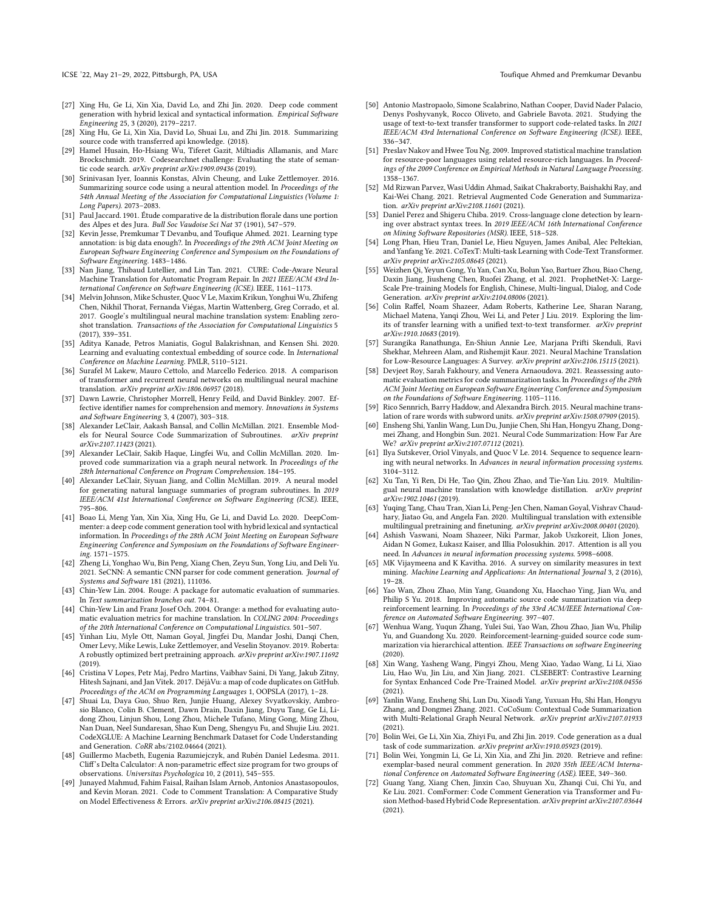ICSE '22, May 21-29, 2022, Pittsburgh, PA, USA Toufique Ahmed and Premkumar Devanbu

- <span id="page-11-11"></span>[27] Xing Hu, Ge Li, Xin Xia, David Lo, and Zhi Jin. 2020. Deep code comment generation with hybrid lexical and syntactical information. Empirical Software Engineering 25, 3 (2020), 2179–2217.
- <span id="page-11-12"></span>[28] Xing Hu, Ge Li, Xin Xia, David Lo, Shuai Lu, and Zhi Jin. 2018. Summarizing source code with transferred api knowledge. (2018).
- <span id="page-11-33"></span>[29] Hamel Husain, Ho-Hsiang Wu, Tiferet Gazit, Miltiadis Allamanis, and Marc Brockschmidt. 2019. Codesearchnet challenge: Evaluating the state of semantic code search. arXiv preprint arXiv:1909.09436 (2019).
- <span id="page-11-5"></span>[30] Srinivasan Iyer, Ioannis Konstas, Alvin Cheung, and Luke Zettlemoyer. 2016. Summarizing source code using a neural attention model. In Proceedings of the 54th Annual Meeting of the Association for Computational Linguistics (Volume 1: Long Papers). 2073–2083.
- <span id="page-11-30"></span>[31] Paul Jaccard. 1901. Étude comparative de la distribution florale dans une portion des Alpes et des Jura. Bull Soc Vaudoise Sci Nat 37 (1901), 547–579.
- <span id="page-11-26"></span>[32] Kevin Jesse, Premkumar T Devanbu, and Toufique Ahmed. 2021. Learning type annotation: is big data enough?. In Proceedings of the 29th ACM Joint Meeting on European Software Engineering Conference and Symposium on the Foundations of Software Engineering. 1483–1486.
- <span id="page-11-27"></span>[33] Nan Jiang, Thibaud Lutellier, and Lin Tan. 2021. CURE: Code-Aware Neural Machine Translation for Automatic Program Repair. In 2021 IEEE/ACM 43rd International Conference on Software Engineering (ICSE). IEEE, 1161–1173.
- <span id="page-11-4"></span>[34] Melvin Johnson, Mike Schuster, Quoc V Le, Maxim Krikun, Yonghui Wu, Zhifeng Chen, Nikhil Thorat, Fernanda Viégas, Martin Wattenberg, Greg Corrado, et al. 2017. Google's multilingual neural machine translation system: Enabling zeroshot translation. Transactions of the Association for Computational Linguistics 5 (2017), 339–351.
- <span id="page-11-28"></span>[35] Aditya Kanade, Petros Maniatis, Gogul Balakrishnan, and Kensen Shi. 2020. Learning and evaluating contextual embedding of source code. In International Conference on Machine Learning. PMLR, 5110–5121.
- <span id="page-11-2"></span>[36] Surafel M Lakew, Mauro Cettolo, and Marcello Federico. 2018. A comparison of transformer and recurrent neural networks on multilingual neural machine translation. arXiv preprint arXiv:1806.06957 (2018).
- <span id="page-11-24"></span>[37] Dawn Lawrie, Christopher Morrell, Henry Feild, and David Binkley. 2007. Effective identifier names for comprehension and memory. Innovations in Systems and Software Engineering 3, 4 (2007), 303–318.
- <span id="page-11-13"></span>[38] Alexander LeClair, Aakash Bansal, and Collin McMillan. 2021. Ensemble Models for Neural Source Code Summarization of Subroutines. arXiv preprint arXiv:2107.11423 (2021).
- <span id="page-11-14"></span>[39] Alexander LeClair, Sakib Haque, Lingfei Wu, and Collin McMillan. 2020. Improved code summarization via a graph neural network. In Proceedings of the 28th International Conference on Program Comprehension. 184–195.
- <span id="page-11-6"></span>[40] Alexander LeClair, Siyuan Jiang, and Collin McMillan. 2019. A neural model for generating natural language summaries of program subroutines. In 2019 IEEE/ACM 41st International Conference on Software Engineering (ICSE). IEEE, 795–806.
- <span id="page-11-15"></span>[41] Boao Li, Meng Yan, Xin Xia, Xing Hu, Ge Li, and David Lo. 2020. DeepCommenter: a deep code comment generation tool with hybrid lexical and syntactical information. In Proceedings of the 28th ACM Joint Meeting on European Software Engineering Conference and Symposium on the Foundations of Software Engineering. 1571–1575.
- <span id="page-11-7"></span>[42] Zheng Li, Yonghao Wu, Bin Peng, Xiang Chen, Zeyu Sun, Yong Liu, and Deli Yu. 2021. SeCNN: A semantic CNN parser for code comment generation. Journal of Systems and Software 181 (2021), 111036.
- <span id="page-11-42"></span>[43] Chin-Yew Lin. 2004. Rouge: A package for automatic evaluation of summaries. In Text summarization branches out. 74–81.
- <span id="page-11-35"></span>[44] Chin-Yew Lin and Franz Josef Och. 2004. Orange: a method for evaluating automatic evaluation metrics for machine translation. In COLING 2004: Proceedings of the 20th International Conference on Computational Linguistics. 501–507.
- <span id="page-11-25"></span>[45] Yinhan Liu, Myle Ott, Naman Goyal, Jingfei Du, Mandar Joshi, Danqi Chen, Omer Levy, Mike Lewis, Luke Zettlemoyer, and Veselin Stoyanov. 2019. Roberta: A robustly optimized bert pretraining approach. arXiv preprint arXiv:1907.11692 (2019).
- <span id="page-11-40"></span>[46] Cristina V Lopes, Petr Maj, Pedro Martins, Vaibhav Saini, Di Yang, Jakub Zitny, Hitesh Sajnani, and Jan Vitek. 2017. DéjàVu: a map of code duplicates on GitHub. Proceedings of the ACM on Programming Languages 1, OOPSLA (2017), 1–28.
- [47] Shuai Lu, Daya Guo, Shuo Ren, Junjie Huang, Alexey Svyatkovskiy, Ambrosio Blanco, Colin B. Clement, Dawn Drain, Daxin Jiang, Duyu Tang, Ge Li, Lidong Zhou, Linjun Shou, Long Zhou, Michele Tufano, Ming Gong, Ming Zhou, Nan Duan, Neel Sundaresan, Shao Kun Deng, Shengyu Fu, and Shujie Liu. 2021. CodeXGLUE: A Machine Learning Benchmark Dataset for Code Understanding and Generation. CoRR abs/2102.04664 (2021).
- <span id="page-11-39"></span>[48] Guillermo Macbeth, Eugenia Razumiejczyk, and Rubén Daniel Ledesma. 2011. Cliff's Delta Calculator: A non-parametric effect size program for two groups of observations. Universitas Psychologica 10, 2 (2011), 545–555.
- <span id="page-11-16"></span>[49] Junayed Mahmud, Fahim Faisal, Raihan Islam Arnob, Antonios Anastasopoulos, and Kevin Moran. 2021. Code to Comment Translation: A Comparative Study on Model Effectiveness & Errors. arXiv preprint arXiv:2106.08415 (2021).
- <span id="page-11-17"></span>[50] Antonio Mastropaolo, Simone Scalabrino, Nathan Cooper, David Nader Palacio, Denys Poshyvanyk, Rocco Oliveto, and Gabriele Bavota. 2021. Studying the usage of text-to-text transfer transformer to support code-related tasks. In 2021 IEEE/ACM 43rd International Conference on Software Engineering (ICSE). IEEE, 336–347.
- <span id="page-11-23"></span>[51] Preslav Nakov and Hwee Tou Ng. 2009. Improved statistical machine translation for resource-poor languages using related resource-rich languages. In Proceedings of the 2009 Conference on Empirical Methods in Natural Language Processing. 1358–1367.
- <span id="page-11-43"></span>[52] Md Rizwan Parvez, Wasi Uddin Ahmad, Saikat Chakraborty, Baishakhi Ray, and Kai-Wei Chang. 2021. Retrieval Augmented Code Generation and Summarization. arXiv preprint arXiv:2108.11601 (2021).
- <span id="page-11-41"></span>[53] Daniel Perez and Shigeru Chiba. 2019. Cross-language clone detection by learning over abstract syntax trees. In 2019 IEEE/ACM 16th International Conference on Mining Software Repositories (MSR). IEEE, 518–528.
- <span id="page-11-8"></span>[54] Long Phan, Hieu Tran, Daniel Le, Hieu Nguyen, James Anibal, Alec Peltekian, and Yanfang Ye. 2021. CoTexT: Multi-task Learning with Code-Text Transformer. arXiv preprint arXiv:2105.08645 (2021).
- <span id="page-11-9"></span>[55] Weizhen Qi, Yeyun Gong, Yu Yan, Can Xu, Bolun Yao, Bartuer Zhou, Biao Cheng, Daxin Jiang, Jiusheng Chen, Ruofei Zhang, et al. 2021. ProphetNet-X: Large-Scale Pre-training Models for English, Chinese, Multi-lingual, Dialog, and Code Generation. arXiv preprint arXiv:2104.08006 (2021).
- <span id="page-11-31"></span>[56] Colin Raffel, Noam Shazeer, Adam Roberts, Katherine Lee, Sharan Narang, Michael Matena, Yanqi Zhou, Wei Li, and Peter J Liu. 2019. Exploring the limits of transfer learning with a unified text-to-text transformer. arXiv preprint arXiv:1910.10683 (2019).
- <span id="page-11-0"></span>[57] Surangika Ranathunga, En-Shiun Annie Lee, Marjana Prifti Skenduli, Ravi Shekhar, Mehreen Alam, and Rishemjit Kaur. 2021. Neural Machine Translation for Low-Resource Languages: A Survey. arXiv preprint arXiv:2106.15115 (2021).
- <span id="page-11-38"></span>[58] Devjeet Roy, Sarah Fakhoury, and Venera Arnaoudova. 2021. Reassessing automatic evaluation metrics for code summarization tasks. In Proceedings of the 29th ACM Joint Meeting on European Software Engineering Conference and Symposium on the Foundations of Software Engineering. 1105–1116.
- <span id="page-11-37"></span>[59] Rico Sennrich, Barry Haddow, and Alexandra Birch. 2015. Neural machine translation of rare words with subword units. arXiv preprint arXiv:1508.07909 (2015).
- <span id="page-11-34"></span>[60] Ensheng Shi, Yanlin Wang, Lun Du, Junjie Chen, Shi Han, Hongyu Zhang, Dongmei Zhang, and Hongbin Sun. 2021. Neural Code Summarization: How Far Are We? arXiv preprint arXiv:2107.07112 (2021).
- <span id="page-11-36"></span>[61] Ilya Sutskever, Oriol Vinyals, and Quoc V Le. 2014. Sequence to sequence learning with neural networks. In Advances in neural information processing systems. 3104–3112.
- <span id="page-11-3"></span>[62] Xu Tan, Yi Ren, Di He, Tao Qin, Zhou Zhao, and Tie-Yan Liu. 2019. Multilingual neural machine translation with knowledge distillation. arXiv preprint arXiv:1902.10461 (2019).
- <span id="page-11-1"></span>[63] Yuqing Tang, Chau Tran, Xian Li, Peng-Jen Chen, Naman Goyal, Vishrav Chaudhary, Jiatao Gu, and Angela Fan. 2020. Multilingual translation with extensible multilingual pretraining and finetuning. arXiv preprint arXiv:2008.00401 (2020).
- <span id="page-11-32"></span>[64] Ashish Vaswani, Noam Shazeer, Niki Parmar, Jakob Uszkoreit, Llion Jones, Aidan N Gomez, Łukasz Kaiser, and Illia Polosukhin. 2017. Attention is all you need. In Advances in neural information processing systems. 5998–6008.
- <span id="page-11-29"></span>[65] MK Vijaymeena and K Kavitha. 2016. A survey on similarity measures in text mining. Machine Learning and Applications: An International Journal 3, 2 (2016), 19–28.
- <span id="page-11-18"></span>[66] Yao Wan, Zhou Zhao, Min Yang, Guandong Xu, Haochao Ying, Jian Wu, and Philip S Yu. 2018. Improving automatic source code summarization via deep reinforcement learning. In Proceedings of the 33rd ACM/IEEE International Conference on Automated Software Engineering. 397–407.
- <span id="page-11-19"></span>[67] Wenhua Wang, Yuqun Zhang, Yulei Sui, Yao Wan, Zhou Zhao, Jian Wu, Philip Yu, and Guandong Xu. 2020. Reinforcement-learning-guided source code summarization via hierarchical attention. IEEE Transactions on software Engineering (2020).
- <span id="page-11-44"></span>[68] Xin Wang, Yasheng Wang, Pingyi Zhou, Meng Xiao, Yadao Wang, Li Li, Xiao Liu, Hao Wu, Jin Liu, and Xin Jiang. 2021. CLSEBERT: Contrastive Learning for Syntax Enhanced Code Pre-Trained Model. arXiv preprint arXiv:2108.04556 (2021).
- <span id="page-11-20"></span>[69] Yanlin Wang, Ensheng Shi, Lun Du, Xiaodi Yang, Yuxuan Hu, Shi Han, Hongyu Zhang, and Dongmei Zhang. 2021. CoCoSum: Contextual Code Summarization with Multi-Relational Graph Neural Network. arXiv preprint arXiv:2107.01933 (2021).
- <span id="page-11-21"></span>[70] Bolin Wei, Ge Li, Xin Xia, Zhiyi Fu, and Zhi Jin. 2019. Code generation as a dual task of code summarization. arXiv preprint arXiv:1910.05923 (2019).
- <span id="page-11-10"></span>[71] Bolin Wei, Yongmin Li, Ge Li, Xin Xia, and Zhi Jin. 2020. Retrieve and refine: exemplar-based neural comment generation. In 2020 35th IEEE/ACM International Conference on Automated Software Engineering (ASE). IEEE, 349–360.
- <span id="page-11-22"></span>[72] Guang Yang, Xiang Chen, Jinxin Cao, Shuyuan Xu, Zhanqi Cui, Chi Yu, and Ke Liu. 2021. ComFormer: Code Comment Generation via Transformer and Fusion Method-based Hybrid Code Representation. arXiv preprint arXiv:2107.03644 (2021).